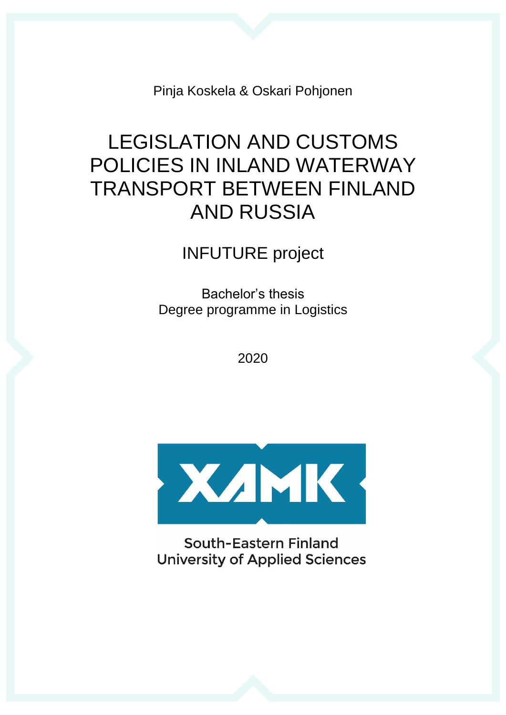Pinja Koskela & Oskari Pohjonen

# LEGISLATION AND CUSTOMS POLICIES IN INLAND WATERWAY TRANSPORT BETWEEN FINLAND AND RUSSIA

## INFUTURE project

Bachelor's thesis Degree programme in Logistics

2020



South-Eastern Finland **University of Applied Sciences**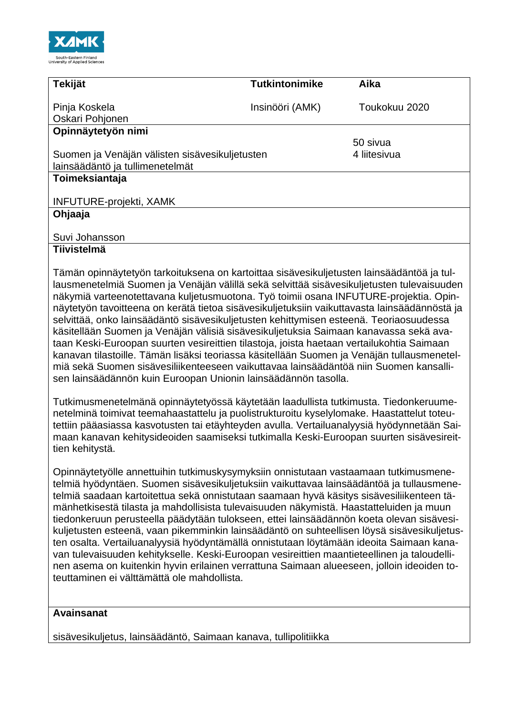

| <b>Tekijät</b>                                    | <b>Tutkintonimike</b>                                                                                                                                                                                                                                                                                                                                                                                                                                                                                                                                                                                                                                                                                                          | Aika          |
|---------------------------------------------------|--------------------------------------------------------------------------------------------------------------------------------------------------------------------------------------------------------------------------------------------------------------------------------------------------------------------------------------------------------------------------------------------------------------------------------------------------------------------------------------------------------------------------------------------------------------------------------------------------------------------------------------------------------------------------------------------------------------------------------|---------------|
| Pinja Koskela                                     | Insinööri (AMK)                                                                                                                                                                                                                                                                                                                                                                                                                                                                                                                                                                                                                                                                                                                | Toukokuu 2020 |
| Oskari Pohjonen                                   |                                                                                                                                                                                                                                                                                                                                                                                                                                                                                                                                                                                                                                                                                                                                |               |
| Opinnäytetyön nimi                                |                                                                                                                                                                                                                                                                                                                                                                                                                                                                                                                                                                                                                                                                                                                                |               |
|                                                   |                                                                                                                                                                                                                                                                                                                                                                                                                                                                                                                                                                                                                                                                                                                                | 50 sivua      |
| Suomen ja Venäjän välisten sisävesikuljetusten    |                                                                                                                                                                                                                                                                                                                                                                                                                                                                                                                                                                                                                                                                                                                                | 4 liitesivua  |
| lainsäädäntö ja tullimenetelmät<br>Toimeksiantaja |                                                                                                                                                                                                                                                                                                                                                                                                                                                                                                                                                                                                                                                                                                                                |               |
|                                                   |                                                                                                                                                                                                                                                                                                                                                                                                                                                                                                                                                                                                                                                                                                                                |               |
| <b>INFUTURE-projekti, XAMK</b>                    |                                                                                                                                                                                                                                                                                                                                                                                                                                                                                                                                                                                                                                                                                                                                |               |
| Ohjaaja                                           |                                                                                                                                                                                                                                                                                                                                                                                                                                                                                                                                                                                                                                                                                                                                |               |
|                                                   |                                                                                                                                                                                                                                                                                                                                                                                                                                                                                                                                                                                                                                                                                                                                |               |
| Suvi Johansson                                    |                                                                                                                                                                                                                                                                                                                                                                                                                                                                                                                                                                                                                                                                                                                                |               |
| <b>Tiivistelmä</b>                                |                                                                                                                                                                                                                                                                                                                                                                                                                                                                                                                                                                                                                                                                                                                                |               |
|                                                   | näkymiä varteenotettavana kuljetusmuotona. Työ toimii osana INFUTURE-projektia. Opin-<br>näytetyön tavoitteena on kerätä tietoa sisävesikuljetuksiin vaikuttavasta lainsäädännöstä ja<br>selvittää, onko lainsäädäntö sisävesikuljetusten kehittymisen esteenä. Teoriaosuudessa<br>käsitellään Suomen ja Venäjän välisiä sisävesikuljetuksia Saimaan kanavassa sekä ava-<br>taan Keski-Euroopan suurten vesireittien tilastoja, joista haetaan vertailukohtia Saimaan<br>kanavan tilastoille. Tämän lisäksi teoriassa käsitellään Suomen ja Venäjän tullausmenetel-<br>miä sekä Suomen sisävesiliikenteeseen vaikuttavaa lainsäädäntöä niin Suomen kansalli-<br>sen lainsäädännön kuin Euroopan Unionin lainsäädännön tasolla. |               |
| tien kehitystä.                                   | Tutkimusmenetelmänä opinnäytetyössä käytetään laadullista tutkimusta. Tiedonkeruume-<br>netelminä toimivat teemahaastattelu ja puolistrukturoitu kyselylomake. Haastattelut toteu-<br>tettiin pääasiassa kasvotusten tai etäyhteyden avulla. Vertailuanalyysiä hyödynnetään Sai-<br>maan kanavan kehitysideoiden saamiseksi tutkimalla Keski-Euroopan suurten sisävesireit-                                                                                                                                                                                                                                                                                                                                                    |               |
|                                                   | Opinnäytetyölle annettuihin tutkimuskysymyksiin onnistutaan vastaamaan tutkimusmene-<br>telmiä hyödyntäen. Suomen sisävesikuljetuksiin vaikuttavaa lainsäädäntöä ja tullausmene-<br>telmiä saadaan kartoitettua sekä onnistutaan saamaan hyvä käsitys sisävesiliikenteen tä-<br>mänhetkisestä tilasta ja mahdollisista tulevaisuuden näkymistä. Haastatteluiden ja muun<br>tiedonkeruun perusteella päädytään tulokseen, ettei lainsäädännön koeta olevan sisävesi-<br>kuljetusten esteenä, vaan pikemminkin lainsäädäntö on suhteellisen löysä sisävesikuljetus-                                                                                                                                                              |               |

ten osalta. Vertailuanalyysiä hyödyntämällä onnistutaan löytämään ideoita Saimaan kanavan tulevaisuuden kehitykselle. Keski-Euroopan vesireittien maantieteellinen ja taloudellinen asema on kuitenkin hyvin erilainen verrattuna Saimaan alueeseen, jolloin ideoiden toteuttaminen ei välttämättä ole mahdollista.

#### **Avainsanat**

sisävesikuljetus, lainsäädäntö, Saimaan kanava, tullipolitiikka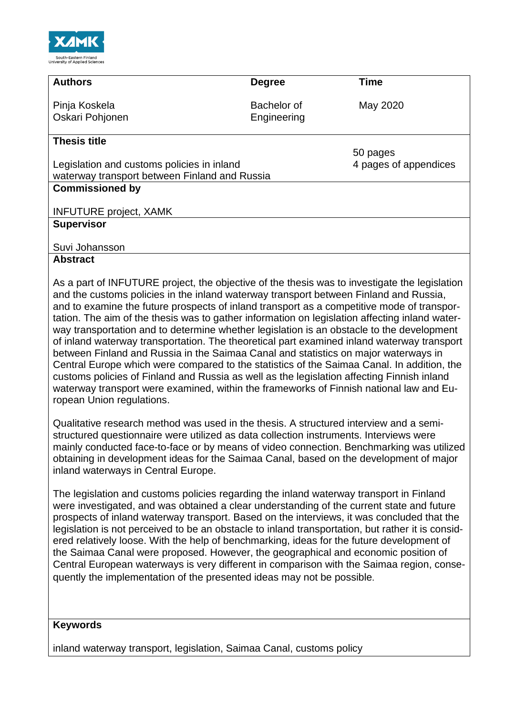

| <b>Authors</b>                                | <b>Degree</b> | <b>Time</b>           |
|-----------------------------------------------|---------------|-----------------------|
| Pinja Koskela                                 | Bachelor of   | May 2020              |
| Oskari Pohjonen                               | Engineering   |                       |
| <b>Thesis title</b>                           |               |                       |
|                                               |               | 50 pages              |
| Legislation and customs policies in inland    |               | 4 pages of appendices |
| waterway transport between Finland and Russia |               |                       |
| <b>Commissioned by</b>                        |               |                       |
|                                               |               |                       |
| <b>INFUTURE project, XAMK</b>                 |               |                       |
| <b>Supervisor</b>                             |               |                       |
|                                               |               |                       |
| Suvi Johansson                                |               |                       |
| <b>Abstract</b>                               |               |                       |

As a part of INFUTURE project, the objective of the thesis was to investigate the legislation and the customs policies in the inland waterway transport between Finland and Russia, and to examine the future prospects of inland transport as a competitive mode of transportation. The aim of the thesis was to gather information on legislation affecting inland waterway transportation and to determine whether legislation is an obstacle to the development of inland waterway transportation. The theoretical part examined inland waterway transport between Finland and Russia in the Saimaa Canal and statistics on major waterways in Central Europe which were compared to the statistics of the Saimaa Canal. In addition, the customs policies of Finland and Russia as well as the legislation affecting Finnish inland waterway transport were examined, within the frameworks of Finnish national law and European Union regulations.

Qualitative research method was used in the thesis. A structured interview and a semistructured questionnaire were utilized as data collection instruments. Interviews were mainly conducted face-to-face or by means of video connection. Benchmarking was utilized obtaining in development ideas for the Saimaa Canal, based on the development of major inland waterways in Central Europe.

The legislation and customs policies regarding the inland waterway transport in Finland were investigated, and was obtained a clear understanding of the current state and future prospects of inland waterway transport. Based on the interviews, it was concluded that the legislation is not perceived to be an obstacle to inland transportation, but rather it is considered relatively loose. With the help of benchmarking, ideas for the future development of the Saimaa Canal were proposed. However, the geographical and economic position of Central European waterways is very different in comparison with the Saimaa region, consequently the implementation of the presented ideas may not be possible.

#### **Keywords**

inland waterway transport, legislation, Saimaa Canal, customs policy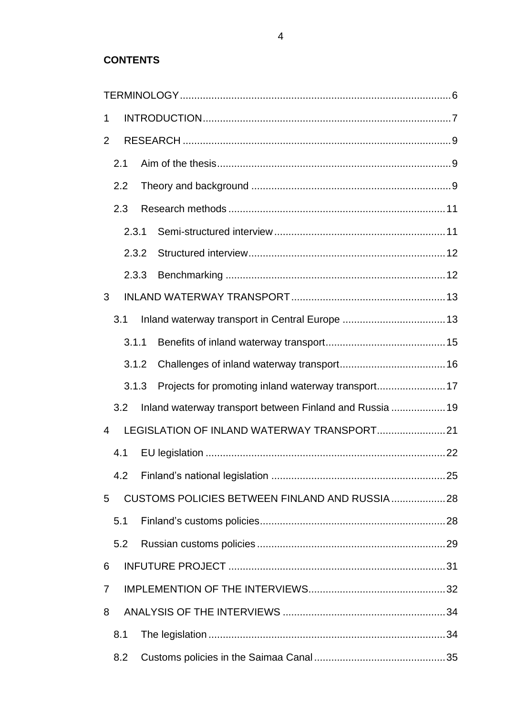## **CONTENTS**

| 1 |     |       |                                                          |  |
|---|-----|-------|----------------------------------------------------------|--|
| 2 |     |       |                                                          |  |
|   | 2.1 |       |                                                          |  |
|   |     | 2.2   |                                                          |  |
|   |     | 2.3   |                                                          |  |
|   |     | 2.3.1 |                                                          |  |
|   |     | 2.3.2 |                                                          |  |
|   |     | 2.3.3 |                                                          |  |
| 3 |     |       |                                                          |  |
|   | 3.1 |       |                                                          |  |
|   |     | 3.1.1 |                                                          |  |
|   |     | 3.1.2 |                                                          |  |
|   |     | 3.1.3 | Projects for promoting inland waterway transport17       |  |
|   |     | 3.2   | Inland waterway transport between Finland and Russia  19 |  |
| 4 |     |       |                                                          |  |
|   | 4.1 |       |                                                          |  |
|   |     | 4.2   |                                                          |  |
| 5 |     |       | CUSTOMS POLICIES BETWEEN FINLAND AND RUSSIA28            |  |
|   | 5.1 |       |                                                          |  |
|   |     | 5.2   |                                                          |  |
| 6 |     |       |                                                          |  |
| 7 |     |       |                                                          |  |
| 8 |     |       |                                                          |  |
|   | 8.1 |       |                                                          |  |
|   |     | 8.2   |                                                          |  |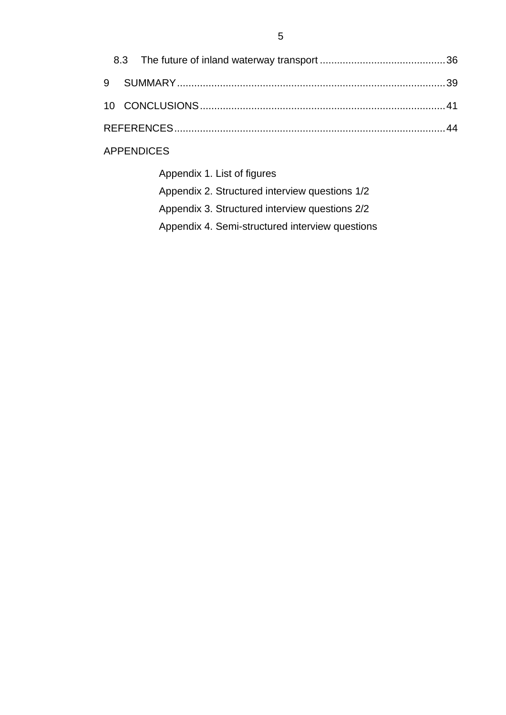|  | <b>APPENDICES</b>          |  |
|--|----------------------------|--|
|  | Annendix 1 List of figures |  |

| Appendix 1. List of hours                       |
|-------------------------------------------------|
| Appendix 2. Structured interview questions 1/2  |
| Appendix 3. Structured interview questions 2/2  |
| Appendix 4. Semi-structured interview questions |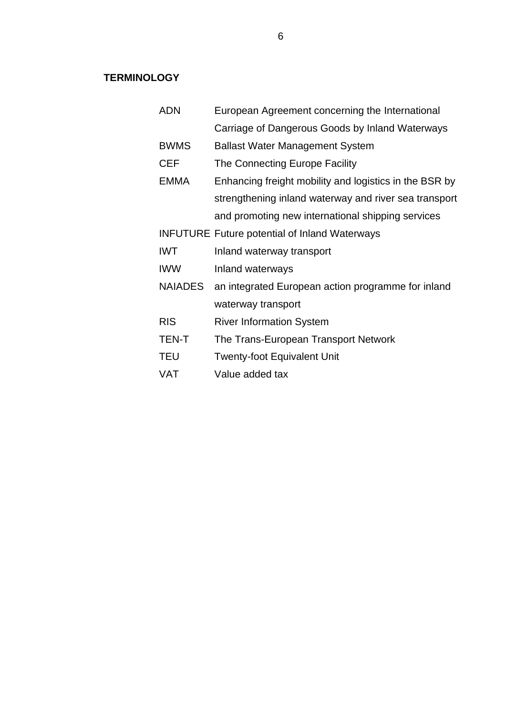### <span id="page-5-0"></span>**TERMINOLOGY**

| <b>ADN</b>     | European Agreement concerning the International        |
|----------------|--------------------------------------------------------|
|                | Carriage of Dangerous Goods by Inland Waterways        |
| <b>BWMS</b>    | <b>Ballast Water Management System</b>                 |
| <b>CEF</b>     | The Connecting Europe Facility                         |
| <b>EMMA</b>    | Enhancing freight mobility and logistics in the BSR by |
|                | strengthening inland waterway and river sea transport  |
|                | and promoting new international shipping services      |
|                | <b>INFUTURE Future potential of Inland Waterways</b>   |
| <b>IWT</b>     | Inland waterway transport                              |
| <b>IWW</b>     | Inland waterways                                       |
| <b>NAIADES</b> | an integrated European action programme for inland     |
|                | waterway transport                                     |
| <b>RIS</b>     | <b>River Information System</b>                        |
| TEN-T          | The Trans-European Transport Network                   |
| TEU            | <b>Twenty-foot Equivalent Unit</b>                     |
| VAT            | Value added tax                                        |
|                |                                                        |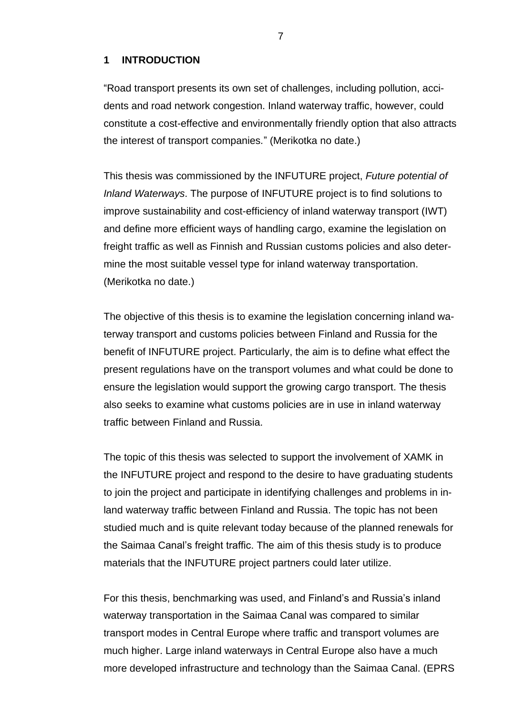#### <span id="page-6-0"></span>**1 INTRODUCTION**

"Road transport presents its own set of challenges, including pollution, accidents and road network congestion. Inland waterway traffic, however, could constitute a cost-effective and environmentally friendly option that also attracts the interest of transport companies*.*" (Merikotka no date.)

This thesis was commissioned by the INFUTURE project, *Future potential of Inland Waterways*. The purpose of INFUTURE project is to find solutions to improve sustainability and cost-efficiency of inland waterway transport (IWT) and define more efficient ways of handling cargo, examine the legislation on freight traffic as well as Finnish and Russian customs policies and also determine the most suitable vessel type for inland waterway transportation. (Merikotka no date.)

The objective of this thesis is to examine the legislation concerning inland waterway transport and customs policies between Finland and Russia for the benefit of INFUTURE project. Particularly, the aim is to define what effect the present regulations have on the transport volumes and what could be done to ensure the legislation would support the growing cargo transport. The thesis also seeks to examine what customs policies are in use in inland waterway traffic between Finland and Russia.

The topic of this thesis was selected to support the involvement of XAMK in the INFUTURE project and respond to the desire to have graduating students to join the project and participate in identifying challenges and problems in inland waterway traffic between Finland and Russia. The topic has not been studied much and is quite relevant today because of the planned renewals for the Saimaa Canal's freight traffic. The aim of this thesis study is to produce materials that the INFUTURE project partners could later utilize.

For this thesis, benchmarking was used, and Finland's and Russia's inland waterway transportation in the Saimaa Canal was compared to similar transport modes in Central Europe where traffic and transport volumes are much higher. Large inland waterways in Central Europe also have a much more developed infrastructure and technology than the Saimaa Canal. (EPRS

7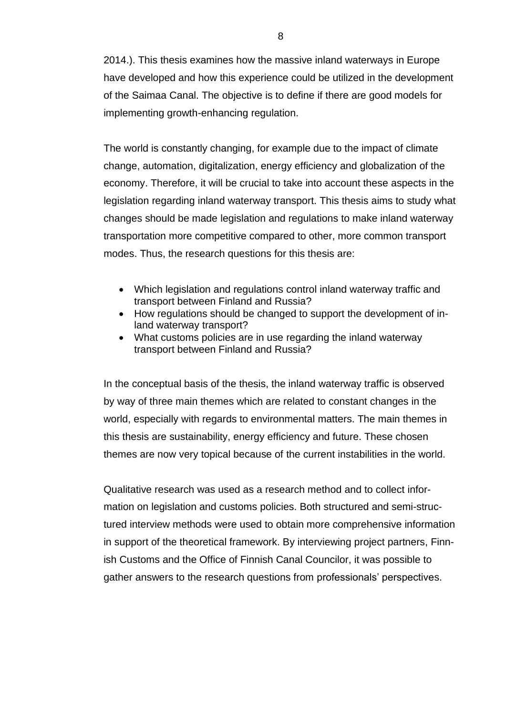2014.). This thesis examines how the massive inland waterways in Europe have developed and how this experience could be utilized in the development of the Saimaa Canal. The objective is to define if there are good models for implementing growth-enhancing regulation.

The world is constantly changing, for example due to the impact of climate change, automation, digitalization, energy efficiency and globalization of the economy. Therefore, it will be crucial to take into account these aspects in the legislation regarding inland waterway transport. This thesis aims to study what changes should be made legislation and regulations to make inland waterway transportation more competitive compared to other, more common transport modes. Thus, the research questions for this thesis are:

- Which legislation and regulations control inland waterway traffic and transport between Finland and Russia?
- How regulations should be changed to support the development of inland waterway transport?
- What customs policies are in use regarding the inland waterway transport between Finland and Russia?

In the conceptual basis of the thesis, the inland waterway traffic is observed by way of three main themes which are related to constant changes in the world, especially with regards to environmental matters. The main themes in this thesis are sustainability, energy efficiency and future. These chosen themes are now very topical because of the current instabilities in the world.

Qualitative research was used as a research method and to collect information on legislation and customs policies. Both structured and semi-structured interview methods were used to obtain more comprehensive information in support of the theoretical framework. By interviewing project partners, Finnish Customs and the Office of Finnish Canal Councilor, it was possible to gather answers to the research questions from professionals' perspectives.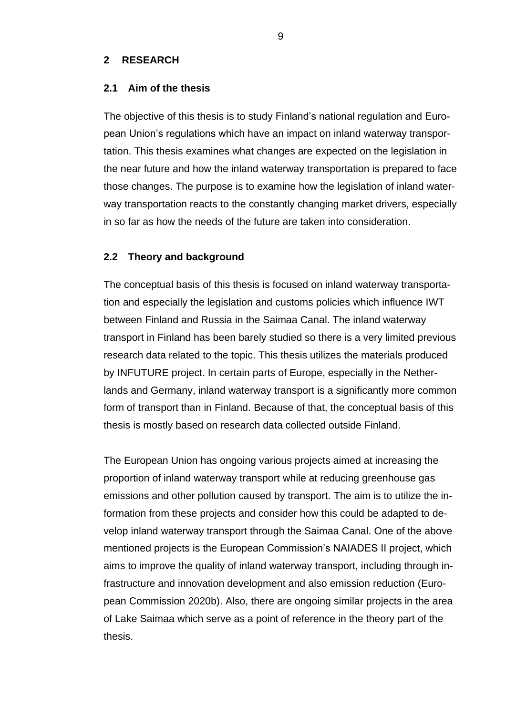#### <span id="page-8-0"></span>**2 RESEARCH**

#### <span id="page-8-1"></span>**2.1 Aim of the thesis**

The objective of this thesis is to study Finland's national regulation and European Union's regulations which have an impact on inland waterway transportation. This thesis examines what changes are expected on the legislation in the near future and how the inland waterway transportation is prepared to face those changes. The purpose is to examine how the legislation of inland waterway transportation reacts to the constantly changing market drivers, especially in so far as how the needs of the future are taken into consideration.

#### <span id="page-8-2"></span>**2.2 Theory and background**

The conceptual basis of this thesis is focused on inland waterway transportation and especially the legislation and customs policies which influence IWT between Finland and Russia in the Saimaa Canal. The inland waterway transport in Finland has been barely studied so there is a very limited previous research data related to the topic. This thesis utilizes the materials produced by INFUTURE project. In certain parts of Europe, especially in the Netherlands and Germany, inland waterway transport is a significantly more common form of transport than in Finland. Because of that, the conceptual basis of this thesis is mostly based on research data collected outside Finland.

The European Union has ongoing various projects aimed at increasing the proportion of inland waterway transport while at reducing greenhouse gas emissions and other pollution caused by transport. The aim is to utilize the information from these projects and consider how this could be adapted to develop inland waterway transport through the Saimaa Canal. One of the above mentioned projects is the European Commission's NAIADES II project, which aims to improve the quality of inland waterway transport, including through infrastructure and innovation development and also emission reduction (European Commission 2020b). Also, there are ongoing similar projects in the area of Lake Saimaa which serve as a point of reference in the theory part of the thesis.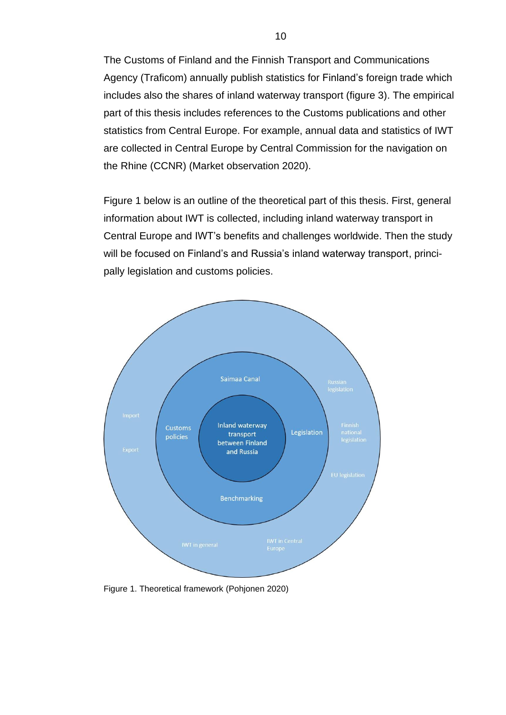The Customs of Finland and the Finnish Transport and Communications Agency (Traficom) annually publish statistics for Finland's foreign trade which includes also the shares of inland waterway transport (figure 3). The empirical part of this thesis includes references to the Customs publications and other statistics from Central Europe. For example, annual data and statistics of IWT are collected in Central Europe by Central Commission for the navigation on the Rhine (CCNR) (Market observation 2020).

Figure 1 below is an outline of the theoretical part of this thesis. First, general information about IWT is collected, including inland waterway transport in Central Europe and IWT's benefits and challenges worldwide. Then the study will be focused on Finland's and Russia's inland waterway transport, principally legislation and customs policies.



Figure 1. Theoretical framework (Pohjonen 2020)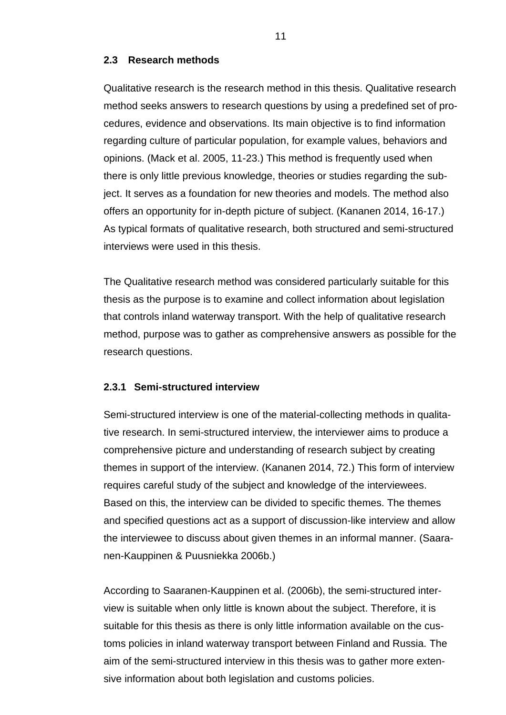#### <span id="page-10-0"></span>**2.3 Research methods**

Qualitative research is the research method in this thesis. Qualitative research method seeks answers to research questions by using a predefined set of procedures, evidence and observations. Its main objective is to find information regarding culture of particular population, for example values, behaviors and opinions. (Mack et al. 2005, 11-23.) This method is frequently used when there is only little previous knowledge, theories or studies regarding the subject. It serves as a foundation for new theories and models. The method also offers an opportunity for in-depth picture of subject. (Kananen 2014, 16-17.) As typical formats of qualitative research, both structured and semi-structured interviews were used in this thesis.

The Qualitative research method was considered particularly suitable for this thesis as the purpose is to examine and collect information about legislation that controls inland waterway transport. With the help of qualitative research method, purpose was to gather as comprehensive answers as possible for the research questions.

#### <span id="page-10-1"></span>**2.3.1 Semi-structured interview**

Semi-structured interview is one of the material-collecting methods in qualitative research. In semi-structured interview, the interviewer aims to produce a comprehensive picture and understanding of research subject by creating themes in support of the interview. (Kananen 2014, 72.) This form of interview requires careful study of the subject and knowledge of the interviewees. Based on this, the interview can be divided to specific themes. The themes and specified questions act as a support of discussion-like interview and allow the interviewee to discuss about given themes in an informal manner. (Saaranen-Kauppinen & Puusniekka 2006b.)

According to Saaranen-Kauppinen et al. (2006b), the semi-structured interview is suitable when only little is known about the subject. Therefore, it is suitable for this thesis as there is only little information available on the customs policies in inland waterway transport between Finland and Russia. The aim of the semi-structured interview in this thesis was to gather more extensive information about both legislation and customs policies.

11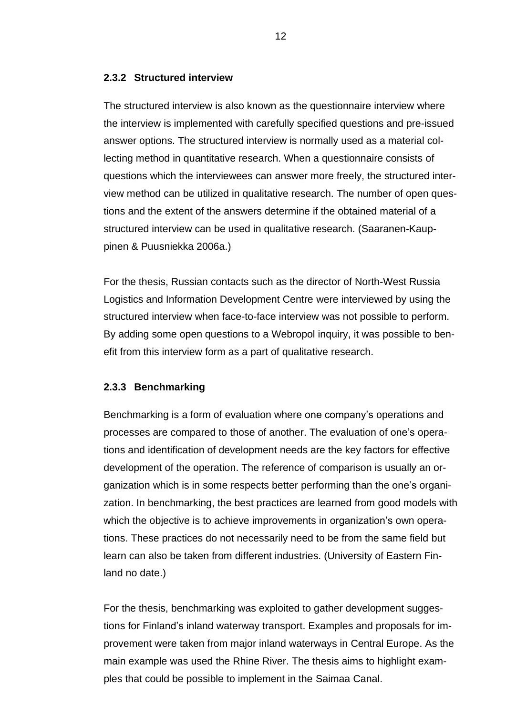#### <span id="page-11-0"></span>**2.3.2 Structured interview**

The structured interview is also known as the questionnaire interview where the interview is implemented with carefully specified questions and pre-issued answer options. The structured interview is normally used as a material collecting method in quantitative research. When a questionnaire consists of questions which the interviewees can answer more freely, the structured interview method can be utilized in qualitative research. The number of open questions and the extent of the answers determine if the obtained material of a structured interview can be used in qualitative research. (Saaranen-Kauppinen & Puusniekka 2006a.)

For the thesis, Russian contacts such as the director of North-West Russia Logistics and Information Development Centre were interviewed by using the structured interview when face-to-face interview was not possible to perform. By adding some open questions to a Webropol inquiry, it was possible to benefit from this interview form as a part of qualitative research.

#### <span id="page-11-1"></span>**2.3.3 Benchmarking**

Benchmarking is a form of evaluation where one company's operations and processes are compared to those of another. The evaluation of one's operations and identification of development needs are the key factors for effective development of the operation. The reference of comparison is usually an organization which is in some respects better performing than the one's organization. In benchmarking, the best practices are learned from good models with which the objective is to achieve improvements in organization's own operations. These practices do not necessarily need to be from the same field but learn can also be taken from different industries. (University of Eastern Finland no date.)

For the thesis, benchmarking was exploited to gather development suggestions for Finland's inland waterway transport. Examples and proposals for improvement were taken from major inland waterways in Central Europe. As the main example was used the Rhine River. The thesis aims to highlight examples that could be possible to implement in the Saimaa Canal.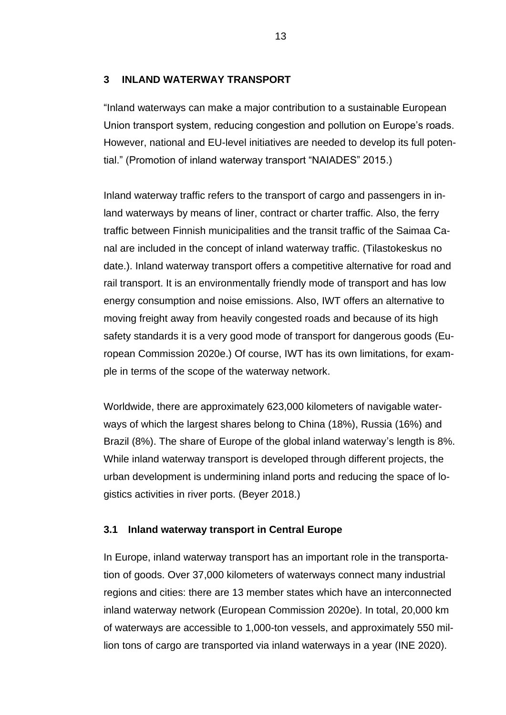#### <span id="page-12-0"></span>**3 INLAND WATERWAY TRANSPORT**

"Inland waterways can make a major contribution to a sustainable European Union transport system, reducing congestion and pollution on Europe's roads. However, national and EU-level initiatives are needed to develop its full potential." (Promotion of inland waterway transport "NAIADES" 2015.)

Inland waterway traffic refers to the transport of cargo and passengers in inland waterways by means of liner, contract or charter traffic. Also, the ferry traffic between Finnish municipalities and the transit traffic of the Saimaa Canal are included in the concept of inland waterway traffic. (Tilastokeskus no date.). Inland waterway transport offers a competitive alternative for road and rail transport. It is an environmentally friendly mode of transport and has low energy consumption and noise emissions. Also, IWT offers an alternative to moving freight away from heavily congested roads and because of its high safety standards it is a very good mode of transport for dangerous goods (European Commission 2020e.) Of course, IWT has its own limitations, for example in terms of the scope of the waterway network.

Worldwide, there are approximately 623,000 kilometers of navigable waterways of which the largest shares belong to China (18%), Russia (16%) and Brazil (8%). The share of Europe of the global inland waterway's length is 8%. While inland waterway transport is developed through different projects, the urban development is undermining inland ports and reducing the space of logistics activities in river ports. (Beyer 2018.)

#### <span id="page-12-1"></span>**3.1 Inland waterway transport in Central Europe**

In Europe, inland waterway transport has an important role in the transportation of goods. Over 37,000 kilometers of waterways connect many industrial regions and cities: there are 13 member states which have an interconnected inland waterway network (European Commission 2020e). In total, 20,000 km of waterways are accessible to 1,000-ton vessels, and approximately 550 million tons of cargo are transported via inland waterways in a year (INE 2020).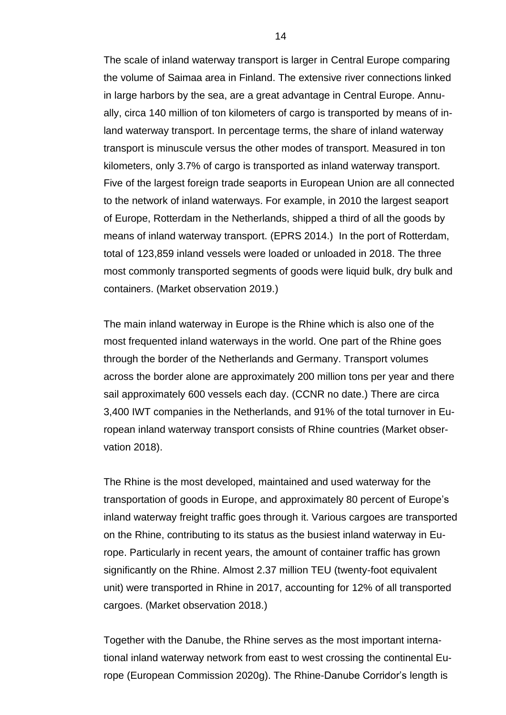The scale of inland waterway transport is larger in Central Europe comparing the volume of Saimaa area in Finland. The extensive river connections linked in large harbors by the sea, are a great advantage in Central Europe. Annually, circa 140 million of ton kilometers of cargo is transported by means of inland waterway transport. In percentage terms, the share of inland waterway transport is minuscule versus the other modes of transport. Measured in ton kilometers, only 3.7% of cargo is transported as inland waterway transport. Five of the largest foreign trade seaports in European Union are all connected to the network of inland waterways. For example, in 2010 the largest seaport of Europe, Rotterdam in the Netherlands, shipped a third of all the goods by means of inland waterway transport. (EPRS 2014.) In the port of Rotterdam, total of 123,859 inland vessels were loaded or unloaded in 2018. The three most commonly transported segments of goods were liquid bulk, dry bulk and containers. (Market observation 2019.)

The main inland waterway in Europe is the Rhine which is also one of the most frequented inland waterways in the world. One part of the Rhine goes through the border of the Netherlands and Germany. Transport volumes across the border alone are approximately 200 million tons per year and there sail approximately 600 vessels each day. (CCNR no date.) There are circa 3,400 IWT companies in the Netherlands, and 91% of the total turnover in European inland waterway transport consists of Rhine countries (Market observation 2018).

The Rhine is the most developed, maintained and used waterway for the transportation of goods in Europe, and approximately 80 percent of Europe's inland waterway freight traffic goes through it. Various cargoes are transported on the Rhine, contributing to its status as the busiest inland waterway in Europe. Particularly in recent years, the amount of container traffic has grown significantly on the Rhine. Almost 2.37 million TEU (twenty-foot equivalent unit) were transported in Rhine in 2017, accounting for 12% of all transported cargoes. (Market observation 2018.)

Together with the Danube, the Rhine serves as the most important international inland waterway network from east to west crossing the continental Europe (European Commission 2020g). The Rhine-Danube Corridor's length is

14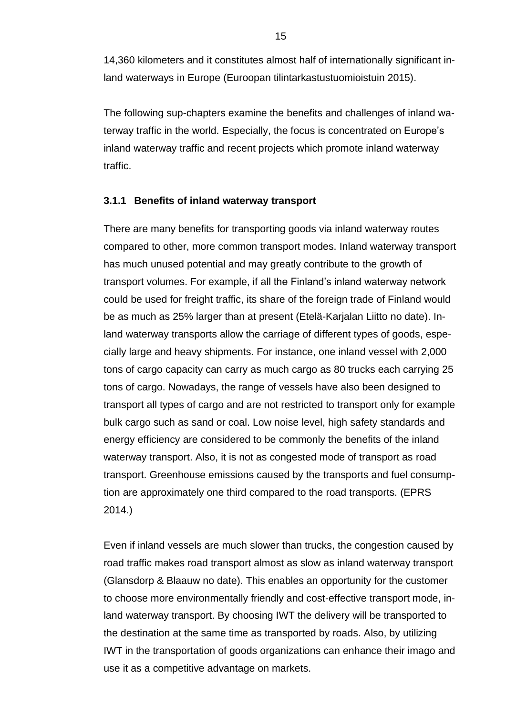14,360 kilometers and it constitutes almost half of internationally significant inland waterways in Europe (Euroopan tilintarkastustuomioistuin 2015).

The following sup-chapters examine the benefits and challenges of inland waterway traffic in the world. Especially, the focus is concentrated on Europe's inland waterway traffic and recent projects which promote inland waterway traffic.

#### <span id="page-14-0"></span>**3.1.1 Benefits of inland waterway transport**

There are many benefits for transporting goods via inland waterway routes compared to other, more common transport modes. Inland waterway transport has much unused potential and may greatly contribute to the growth of transport volumes. For example, if all the Finland's inland waterway network could be used for freight traffic, its share of the foreign trade of Finland would be as much as 25% larger than at present (Etelä-Karjalan Liitto no date). Inland waterway transports allow the carriage of different types of goods, especially large and heavy shipments. For instance, one inland vessel with 2,000 tons of cargo capacity can carry as much cargo as 80 trucks each carrying 25 tons of cargo. Nowadays, the range of vessels have also been designed to transport all types of cargo and are not restricted to transport only for example bulk cargo such as sand or coal. Low noise level, high safety standards and energy efficiency are considered to be commonly the benefits of the inland waterway transport. Also, it is not as congested mode of transport as road transport. Greenhouse emissions caused by the transports and fuel consumption are approximately one third compared to the road transports. (EPRS 2014.)

Even if inland vessels are much slower than trucks, the congestion caused by road traffic makes road transport almost as slow as inland waterway transport (Glansdorp & Blaauw no date). This enables an opportunity for the customer to choose more environmentally friendly and cost-effective transport mode, inland waterway transport. By choosing IWT the delivery will be transported to the destination at the same time as transported by roads. Also, by utilizing IWT in the transportation of goods organizations can enhance their imago and use it as a competitive advantage on markets.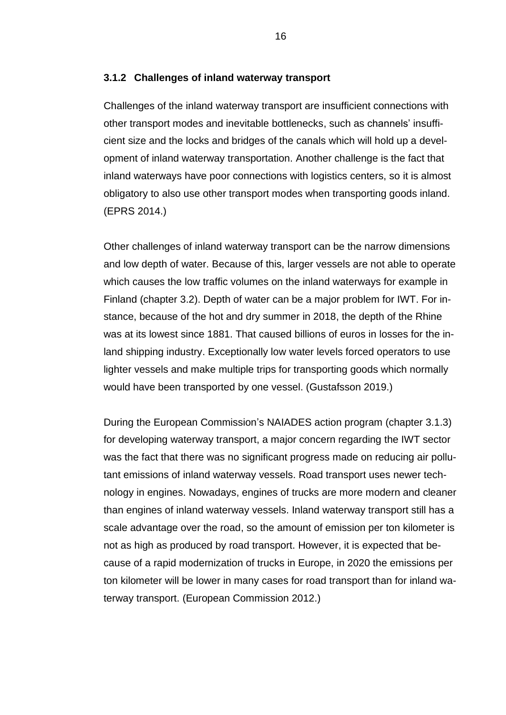#### <span id="page-15-0"></span>**3.1.2 Challenges of inland waterway transport**

Challenges of the inland waterway transport are insufficient connections with other transport modes and inevitable bottlenecks, such as channels' insufficient size and the locks and bridges of the canals which will hold up a development of inland waterway transportation. Another challenge is the fact that inland waterways have poor connections with logistics centers, so it is almost obligatory to also use other transport modes when transporting goods inland. (EPRS 2014.)

Other challenges of inland waterway transport can be the narrow dimensions and low depth of water. Because of this, larger vessels are not able to operate which causes the low traffic volumes on the inland waterways for example in Finland (chapter 3.2). Depth of water can be a major problem for IWT. For instance, because of the hot and dry summer in 2018, the depth of the Rhine was at its lowest since 1881. That caused billions of euros in losses for the inland shipping industry. Exceptionally low water levels forced operators to use lighter vessels and make multiple trips for transporting goods which normally would have been transported by one vessel. (Gustafsson 2019.)

During the European Commission's NAIADES action program (chapter 3.1.3) for developing waterway transport, a major concern regarding the IWT sector was the fact that there was no significant progress made on reducing air pollutant emissions of inland waterway vessels. Road transport uses newer technology in engines. Nowadays, engines of trucks are more modern and cleaner than engines of inland waterway vessels. Inland waterway transport still has a scale advantage over the road, so the amount of emission per ton kilometer is not as high as produced by road transport. However, it is expected that because of a rapid modernization of trucks in Europe, in 2020 the emissions per ton kilometer will be lower in many cases for road transport than for inland waterway transport. (European Commission 2012.)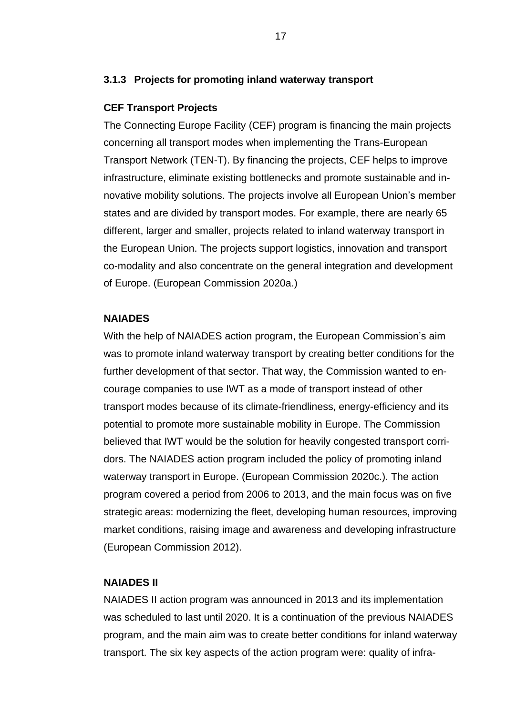#### <span id="page-16-0"></span>**3.1.3 Projects for promoting inland waterway transport**

#### **CEF Transport Projects**

The Connecting Europe Facility (CEF) program is financing the main projects concerning all transport modes when implementing the Trans-European Transport Network (TEN-T). By financing the projects, CEF helps to improve infrastructure, eliminate existing bottlenecks and promote sustainable and innovative mobility solutions. The projects involve all European Union's member states and are divided by transport modes. For example, there are nearly 65 different, larger and smaller, projects related to inland waterway transport in the European Union. The projects support logistics, innovation and transport co-modality and also concentrate on the general integration and development of Europe. (European Commission 2020a.)

#### **NAIADES**

With the help of NAIADES action program, the European Commission's aim was to promote inland waterway transport by creating better conditions for the further development of that sector. That way, the Commission wanted to encourage companies to use IWT as a mode of transport instead of other transport modes because of its climate-friendliness, energy-efficiency and its potential to promote more sustainable mobility in Europe. The Commission believed that IWT would be the solution for heavily congested transport corridors. The NAIADES action program included the policy of promoting inland waterway transport in Europe. (European Commission 2020c.). The action program covered a period from 2006 to 2013, and the main focus was on five strategic areas: modernizing the fleet, developing human resources, improving market conditions, raising image and awareness and developing infrastructure (European Commission 2012).

#### **NAIADES II**

NAIADES II action program was announced in 2013 and its implementation was scheduled to last until 2020. It is a continuation of the previous NAIADES program, and the main aim was to create better conditions for inland waterway transport. The six key aspects of the action program were: quality of infra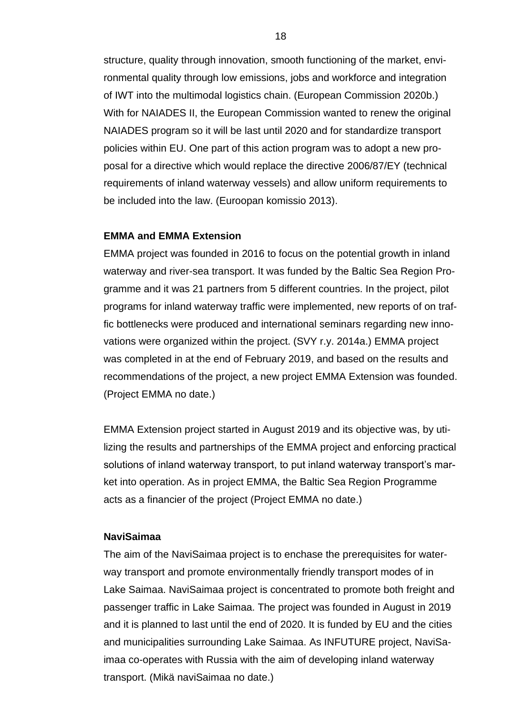structure, quality through innovation, smooth functioning of the market, environmental quality through low emissions, jobs and workforce and integration of IWT into the multimodal logistics chain. (European Commission 2020b.) With for NAIADES II, the European Commission wanted to renew the original NAIADES program so it will be last until 2020 and for standardize transport policies within EU. One part of this action program was to adopt a new proposal for a directive which would replace the directive 2006/87/EY (technical requirements of inland waterway vessels) and allow uniform requirements to be included into the law. (Euroopan komissio 2013).

#### **EMMA and EMMA Extension**

EMMA project was founded in 2016 to focus on the potential growth in inland waterway and river-sea transport. It was funded by the Baltic Sea Region Programme and it was 21 partners from 5 different countries. In the project, pilot programs for inland waterway traffic were implemented, new reports of on traffic bottlenecks were produced and international seminars regarding new innovations were organized within the project. (SVY r.y. 2014a.) EMMA project was completed in at the end of February 2019, and based on the results and recommendations of the project, a new project EMMA Extension was founded. (Project EMMA no date.)

EMMA Extension project started in August 2019 and its objective was, by utilizing the results and partnerships of the EMMA project and enforcing practical solutions of inland waterway transport, to put inland waterway transport's market into operation. As in project EMMA, the Baltic Sea Region Programme acts as a financier of the project (Project EMMA no date.)

#### **NaviSaimaa**

The aim of the NaviSaimaa project is to enchase the prerequisites for waterway transport and promote environmentally friendly transport modes of in Lake Saimaa. NaviSaimaa project is concentrated to promote both freight and passenger traffic in Lake Saimaa. The project was founded in August in 2019 and it is planned to last until the end of 2020. It is funded by EU and the cities and municipalities surrounding Lake Saimaa. As INFUTURE project, NaviSaimaa co-operates with Russia with the aim of developing inland waterway transport. (Mikä naviSaimaa no date.)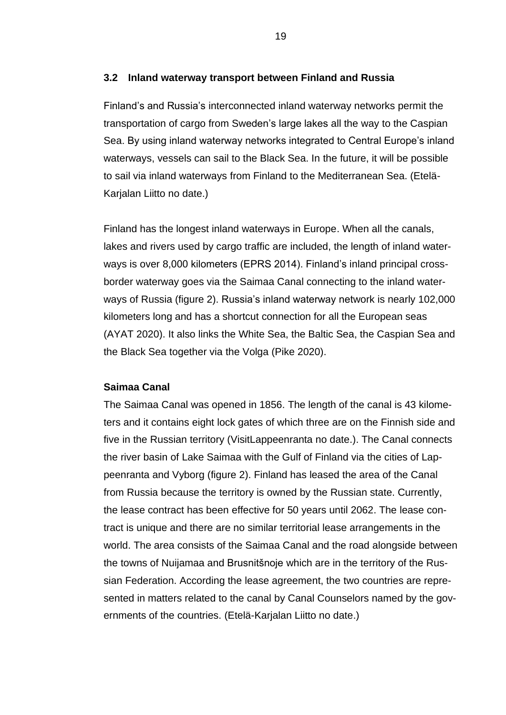#### <span id="page-18-0"></span>**3.2 Inland waterway transport between Finland and Russia**

Finland's and Russia's interconnected inland waterway networks permit the transportation of cargo from Sweden's large lakes all the way to the Caspian Sea. By using inland waterway networks integrated to Central Europe's inland waterways, vessels can sail to the Black Sea. In the future, it will be possible to sail via inland waterways from Finland to the Mediterranean Sea. (Etelä-Karjalan Liitto no date.)

Finland has the longest inland waterways in Europe. When all the canals, lakes and rivers used by cargo traffic are included, the length of inland waterways is over 8,000 kilometers (EPRS 2014). Finland's inland principal crossborder waterway goes via the Saimaa Canal connecting to the inland waterways of Russia (figure 2). Russia's inland waterway network is nearly 102,000 kilometers long and has a shortcut connection for all the European seas (AYAT 2020). It also links the White Sea, the Baltic Sea, the Caspian Sea and the Black Sea together via the Volga (Pike 2020).

#### **Saimaa Canal**

The Saimaa Canal was opened in 1856. The length of the canal is 43 kilometers and it contains eight lock gates of which three are on the Finnish side and five in the Russian territory (VisitLappeenranta no date.). The Canal connects the river basin of Lake Saimaa with the Gulf of Finland via the cities of Lappeenranta and Vyborg (figure 2). Finland has leased the area of the Canal from Russia because the territory is owned by the Russian state. Currently, the lease contract has been effective for 50 years until 2062. The lease contract is unique and there are no similar territorial lease arrangements in the world. The area consists of the Saimaa Canal and the road alongside between the towns of Nuijamaa and Brusnitšnoje which are in the territory of the Russian Federation. According the lease agreement, the two countries are represented in matters related to the canal by Canal Counselors named by the governments of the countries. (Etelä-Karjalan Liitto no date.)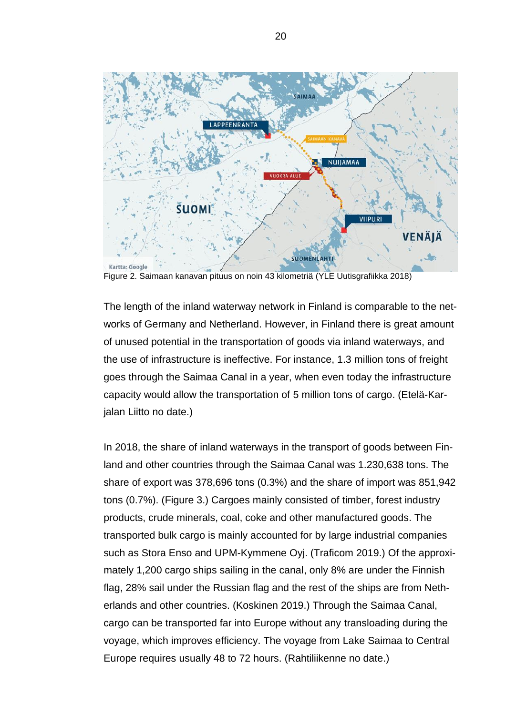

Figure 2. Saimaan kanavan pituus on noin 43 kilometriä (YLE Uutisgrafiikka 2018)

The length of the inland waterway network in Finland is comparable to the networks of Germany and Netherland. However, in Finland there is great amount of unused potential in the transportation of goods via inland waterways, and the use of infrastructure is ineffective. For instance, 1.3 million tons of freight goes through the Saimaa Canal in a year, when even today the infrastructure capacity would allow the transportation of 5 million tons of cargo. (Etelä-Karjalan Liitto no date.)

In 2018, the share of inland waterways in the transport of goods between Finland and other countries through the Saimaa Canal was 1.230,638 tons. The share of export was 378,696 tons (0.3%) and the share of import was 851,942 tons (0.7%). (Figure 3.) Cargoes mainly consisted of timber, forest industry products, crude minerals, coal, coke and other manufactured goods. The transported bulk cargo is mainly accounted for by large industrial companies such as Stora Enso and UPM-Kymmene Oyj. (Traficom 2019.) Of the approximately 1,200 cargo ships sailing in the canal, only 8% are under the Finnish flag, 28% sail under the Russian flag and the rest of the ships are from Netherlands and other countries. (Koskinen 2019.) Through the Saimaa Canal, cargo can be transported far into Europe without any transloading during the voyage, which improves efficiency. The voyage from Lake Saimaa to Central Europe requires usually 48 to 72 hours. (Rahtiliikenne no date.)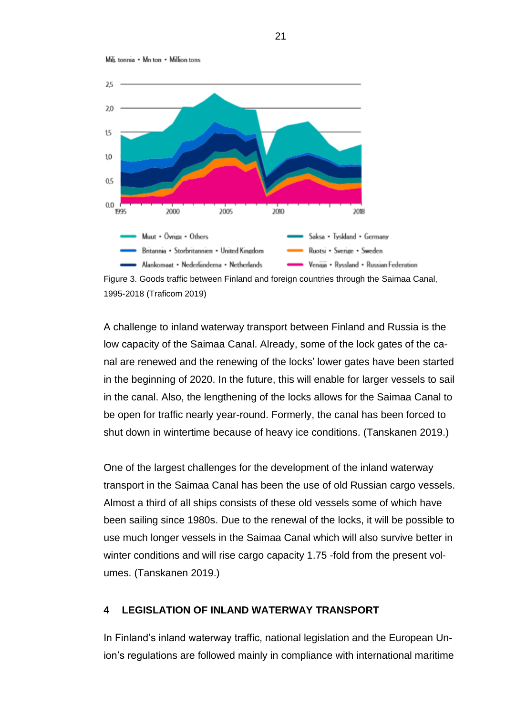



Figure 3. Goods traffic between Finland and foreign countries through the Saimaa Canal, 1995-2018 (Traficom 2019)

A challenge to inland waterway transport between Finland and Russia is the low capacity of the Saimaa Canal. Already, some of the lock gates of the canal are renewed and the renewing of the locks' lower gates have been started in the beginning of 2020. In the future, this will enable for larger vessels to sail in the canal. Also, the lengthening of the locks allows for the Saimaa Canal to be open for traffic nearly year-round. Formerly, the canal has been forced to shut down in wintertime because of heavy ice conditions. (Tanskanen 2019.)

One of the largest challenges for the development of the inland waterway transport in the Saimaa Canal has been the use of old Russian cargo vessels. Almost a third of all ships consists of these old vessels some of which have been sailing since 1980s. Due to the renewal of the locks, it will be possible to use much longer vessels in the Saimaa Canal which will also survive better in winter conditions and will rise cargo capacity 1.75 -fold from the present volumes. (Tanskanen 2019.)

#### <span id="page-20-0"></span>**4 LEGISLATION OF INLAND WATERWAY TRANSPORT**

In Finland's inland waterway traffic, national legislation and the European Union's regulations are followed mainly in compliance with international maritime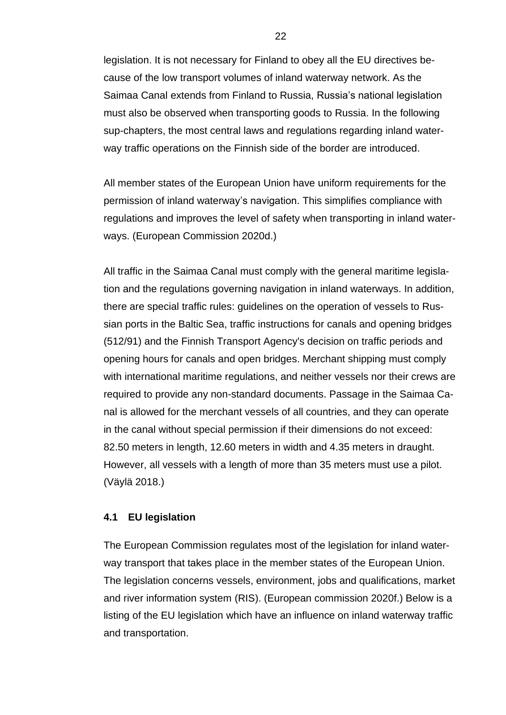legislation. It is not necessary for Finland to obey all the EU directives because of the low transport volumes of inland waterway network. As the Saimaa Canal extends from Finland to Russia, Russia's national legislation must also be observed when transporting goods to Russia. In the following sup-chapters, the most central laws and regulations regarding inland waterway traffic operations on the Finnish side of the border are introduced.

All member states of the European Union have uniform requirements for the permission of inland waterway's navigation. This simplifies compliance with regulations and improves the level of safety when transporting in inland waterways. (European Commission 2020d.)

All traffic in the Saimaa Canal must comply with the general maritime legislation and the regulations governing navigation in inland waterways. In addition, there are special traffic rules: guidelines on the operation of vessels to Russian ports in the Baltic Sea, traffic instructions for canals and opening bridges (512/91) and the Finnish Transport Agency's decision on traffic periods and opening hours for canals and open bridges. Merchant shipping must comply with international maritime regulations, and neither vessels nor their crews are required to provide any non-standard documents. Passage in the Saimaa Canal is allowed for the merchant vessels of all countries, and they can operate in the canal without special permission if their dimensions do not exceed: 82.50 meters in length, 12.60 meters in width and 4.35 meters in draught. However, all vessels with a length of more than 35 meters must use a pilot. (Väylä 2018.)

#### <span id="page-21-0"></span>**4.1 EU legislation**

The European Commission regulates most of the legislation for inland waterway transport that takes place in the member states of the European Union. The legislation concerns vessels, environment, jobs and qualifications, market and river information system (RIS). (European commission 2020f.) Below is a listing of the EU legislation which have an influence on inland waterway traffic and transportation.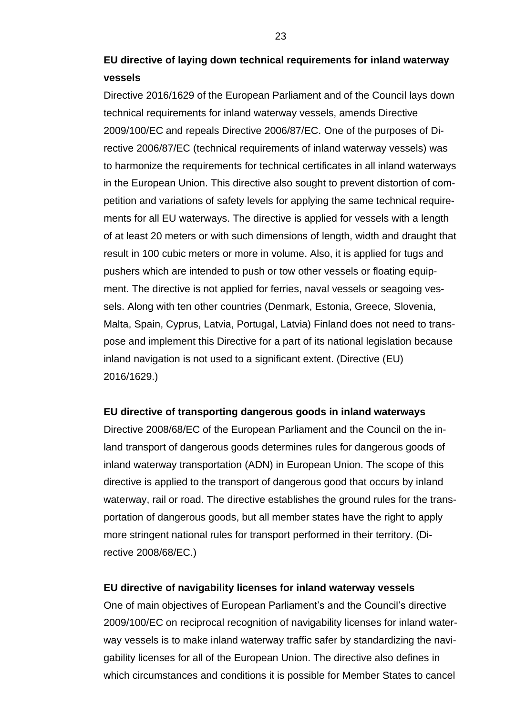## **EU directive of laying down technical requirements for inland waterway vessels**

Directive 2016/1629 of the European Parliament and of the Council lays down technical requirements for inland waterway vessels, amends Directive 2009/100/EC and repeals Directive 2006/87/EC. One of the purposes of Directive 2006/87/EC (technical requirements of inland waterway vessels) was to harmonize the requirements for technical certificates in all inland waterways in the European Union. This directive also sought to prevent distortion of competition and variations of safety levels for applying the same technical requirements for all EU waterways. The directive is applied for vessels with a length of at least 20 meters or with such dimensions of length, width and draught that result in 100 cubic meters or more in volume. Also, it is applied for tugs and pushers which are intended to push or tow other vessels or floating equipment. The directive is not applied for ferries, naval vessels or seagoing vessels. Along with ten other countries (Denmark, Estonia, Greece, Slovenia, Malta, Spain, Cyprus, Latvia, Portugal, Latvia) Finland does not need to transpose and implement this Directive for a part of its national legislation because inland navigation is not used to a significant extent. (Directive (EU) 2016/1629.)

#### **EU directive of transporting dangerous goods in inland waterways**

Directive 2008/68/EC of the European Parliament and the Council on the inland transport of dangerous goods determines rules for dangerous goods of inland waterway transportation (ADN) in European Union. The scope of this directive is applied to the transport of dangerous good that occurs by inland waterway, rail or road. The directive establishes the ground rules for the transportation of dangerous goods, but all member states have the right to apply more stringent national rules for transport performed in their territory. (Directive 2008/68/EC.)

#### **EU directive of navigability licenses for inland waterway vessels**

One of main objectives of European Parliament's and the Council's directive 2009/100/EC on reciprocal recognition of navigability licenses for inland waterway vessels is to make inland waterway traffic safer by standardizing the navigability licenses for all of the European Union. The directive also defines in which circumstances and conditions it is possible for Member States to cancel

23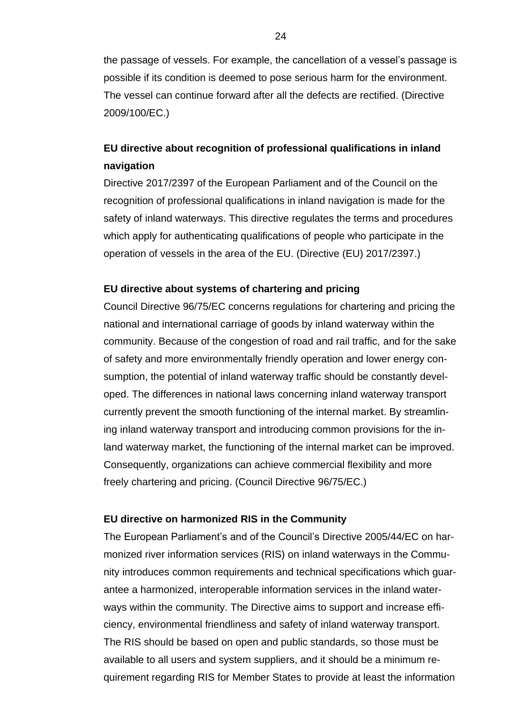the passage of vessels. For example, the cancellation of a vessel's passage is possible if its condition is deemed to pose serious harm for the environment. The vessel can continue forward after all the defects are rectified. (Directive 2009/100/EC.)

## **EU directive about recognition of professional qualifications in inland navigation**

Directive 2017/2397 of the European Parliament and of the Council on the recognition of professional qualifications in inland navigation is made for the safety of inland waterways. This directive regulates the terms and procedures which apply for authenticating qualifications of people who participate in the operation of vessels in the area of the EU. (Directive (EU) 2017/2397.)

#### **EU directive about systems of chartering and pricing**

Council Directive 96/75/EC concerns regulations for chartering and pricing the national and international carriage of goods by inland waterway within the community. Because of the congestion of road and rail traffic, and for the sake of safety and more environmentally friendly operation and lower energy consumption, the potential of inland waterway traffic should be constantly developed. The differences in national laws concerning inland waterway transport currently prevent the smooth functioning of the internal market. By streamlining inland waterway transport and introducing common provisions for the inland waterway market, the functioning of the internal market can be improved. Consequently, organizations can achieve commercial flexibility and more freely chartering and pricing. (Council Directive 96/75/EC.)

#### **EU directive on harmonized RIS in the Community**

The European Parliament's and of the Council's Directive 2005/44/EC on harmonized river information services (RIS) on inland waterways in the Community introduces common requirements and technical specifications which guarantee a harmonized, interoperable information services in the inland waterways within the community. The Directive aims to support and increase efficiency, environmental friendliness and safety of inland waterway transport. The RIS should be based on open and public standards, so those must be available to all users and system suppliers, and it should be a minimum requirement regarding RIS for Member States to provide at least the information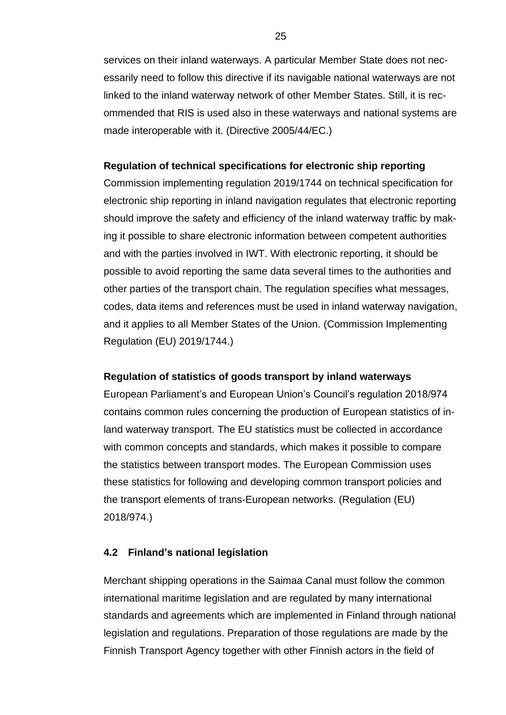services on their inland waterways. A particular Member State does not necessarily need to follow this directive if its navigable national waterways are not linked to the inland waterway network of other Member States. Still, it is recommended that RIS is used also in these waterways and national systems are made interoperable with it. (Directive 2005/44/EC.)

#### **Regulation of technical specifications for electronic ship reporting**

Commission implementing regulation 2019/1744 on technical specification for electronic ship reporting in inland navigation regulates that electronic reporting should improve the safety and efficiency of the inland waterway traffic by making it possible to share electronic information between competent authorities and with the parties involved in IWT. With electronic reporting, it should be possible to avoid reporting the same data several times to the authorities and other parties of the transport chain. The regulation specifies what messages, codes, data items and references must be used in inland waterway navigation, and it applies to all Member States of the Union. (Commission Implementing Regulation (EU) 2019/1744.)

#### **Regulation of statistics of goods transport by inland waterways**

European Parliament's and European Union's Council's regulation 2018/974 contains common rules concerning the production of European statistics of inland waterway transport. The EU statistics must be collected in accordance with common concepts and standards, which makes it possible to compare the statistics between transport modes. The European Commission uses these statistics for following and developing common transport policies and the transport elements of trans-European networks. (Regulation (EU) 2018/974.)

#### <span id="page-24-0"></span>**4.2 Finland's national legislation**

Merchant shipping operations in the Saimaa Canal must follow the common international maritime legislation and are regulated by many international standards and agreements which are implemented in Finland through national legislation and regulations. Preparation of those regulations are made by the Finnish Transport Agency together with other Finnish actors in the field of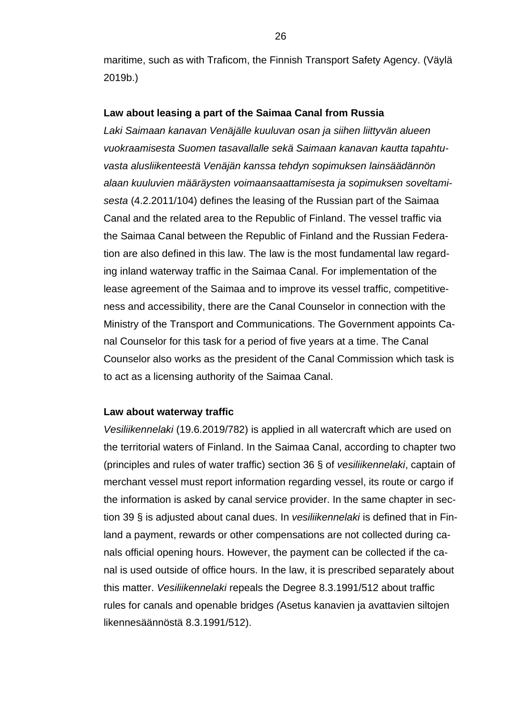maritime, such as with Traficom, the Finnish Transport Safety Agency. (Väylä 2019b.)

#### **Law about leasing a part of the Saimaa Canal from Russia**

*Laki Saimaan kanavan Venäjälle kuuluvan osan ja siihen liittyvän alueen vuokraamisesta Suomen tasavallalle sekä Saimaan kanavan kautta tapahtuvasta alusliikenteestä Venäjän kanssa tehdyn sopimuksen lainsäädännön alaan kuuluvien määräysten voimaansaattamisesta ja sopimuksen soveltamisesta* (4.2.2011/104) defines the leasing of the Russian part of the Saimaa Canal and the related area to the Republic of Finland. The vessel traffic via the Saimaa Canal between the Republic of Finland and the Russian Federation are also defined in this law. The law is the most fundamental law regarding inland waterway traffic in the Saimaa Canal. For implementation of the lease agreement of the Saimaa and to improve its vessel traffic, competitiveness and accessibility, there are the Canal Counselor in connection with the Ministry of the Transport and Communications. The Government appoints Canal Counselor for this task for a period of five years at a time. The Canal Counselor also works as the president of the Canal Commission which task is to act as a licensing authority of the Saimaa Canal.

#### **Law about waterway traffic**

*Vesiliikennelaki* (19.6.2019/782) is applied in all watercraft which are used on the territorial waters of Finland. In the Saimaa Canal, according to chapter two (principles and rules of water traffic) section 36 § of *vesiliikennelaki*, captain of merchant vessel must report information regarding vessel, its route or cargo if the information is asked by canal service provider. In the same chapter in section 39 § is adjusted about canal dues. In *vesiliikennelaki* is defined that in Finland a payment, rewards or other compensations are not collected during canals official opening hours. However, the payment can be collected if the canal is used outside of office hours. In the law, it is prescribed separately about this matter. *Vesiliikennelaki* repeals the Degree 8.3.1991/512 about traffic rules for canals and openable bridges *(*Asetus kanavien ja avattavien siltojen likennesäännöstä 8.3.1991/512).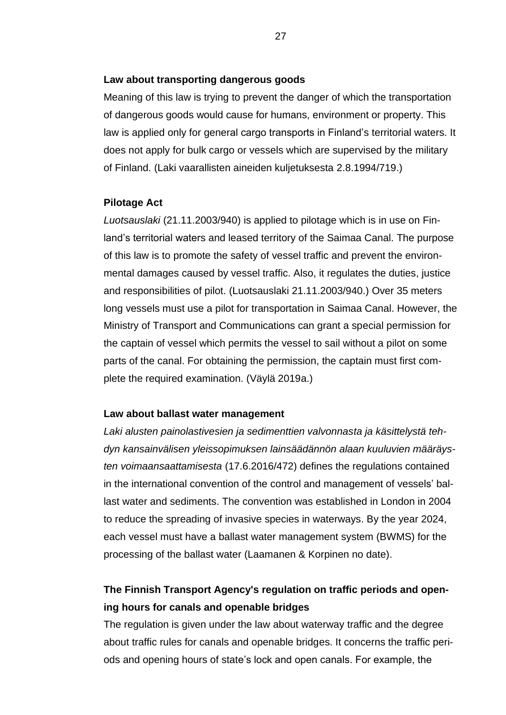#### **Law about transporting dangerous goods**

Meaning of this law is trying to prevent the danger of which the transportation of dangerous goods would cause for humans, environment or property. This law is applied only for general cargo transports in Finland's territorial waters. It does not apply for bulk cargo or vessels which are supervised by the military of Finland. (Laki vaarallisten aineiden kuljetuksesta 2.8.1994/719.)

#### **Pilotage Act**

*Luotsauslaki* (21.11.2003/940) is applied to pilotage which is in use on Finland's territorial waters and leased territory of the Saimaa Canal. The purpose of this law is to promote the safety of vessel traffic and prevent the environmental damages caused by vessel traffic. Also, it regulates the duties, justice and responsibilities of pilot. (Luotsauslaki 21.11.2003/940.) Over 35 meters long vessels must use a pilot for transportation in Saimaa Canal. However, the Ministry of Transport and Communications can grant a special permission for the captain of vessel which permits the vessel to sail without a pilot on some parts of the canal. For obtaining the permission, the captain must first complete the required examination. (Väylä 2019a.)

#### **Law about ballast water management**

*Laki alusten painolastivesien ja sedimenttien valvonnasta ja käsittelystä tehdyn kansainvälisen yleissopimuksen lainsäädännön alaan kuuluvien määräysten voimaansaattamisesta* (17.6.2016/472) defines the regulations contained in the international convention of the control and management of vessels' ballast water and sediments. The convention was established in London in 2004 to reduce the spreading of invasive species in waterways. By the year 2024, each vessel must have a ballast water management system (BWMS) for the processing of the ballast water (Laamanen & Korpinen no date).

## **The Finnish Transport Agency's regulation on traffic periods and opening hours for canals and openable bridges**

The regulation is given under the law about waterway traffic and the degree about traffic rules for canals and openable bridges. It concerns the traffic periods and opening hours of state's lock and open canals. For example, the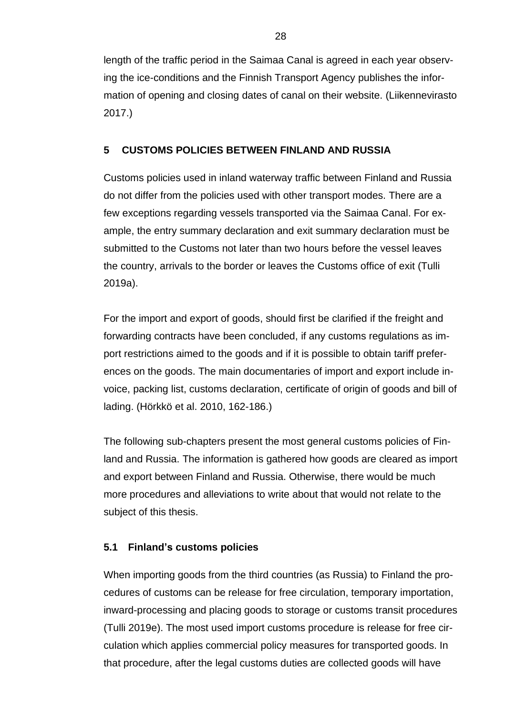length of the traffic period in the Saimaa Canal is agreed in each year observing the ice-conditions and the Finnish Transport Agency publishes the information of opening and closing dates of canal on their website. (Liikennevirasto 2017.)

#### <span id="page-27-0"></span>**5 CUSTOMS POLICIES BETWEEN FINLAND AND RUSSIA**

Customs policies used in inland waterway traffic between Finland and Russia do not differ from the policies used with other transport modes. There are a few exceptions regarding vessels transported via the Saimaa Canal. For example, the entry summary declaration and exit summary declaration must be submitted to the Customs not later than two hours before the vessel leaves the country, arrivals to the border or leaves the Customs office of exit (Tulli 2019a).

For the import and export of goods, should first be clarified if the freight and forwarding contracts have been concluded, if any customs regulations as import restrictions aimed to the goods and if it is possible to obtain tariff preferences on the goods. The main documentaries of import and export include invoice, packing list, customs declaration, certificate of origin of goods and bill of lading. (Hörkkö et al. 2010, 162-186.)

The following sub-chapters present the most general customs policies of Finland and Russia. The information is gathered how goods are cleared as import and export between Finland and Russia. Otherwise, there would be much more procedures and alleviations to write about that would not relate to the subject of this thesis.

## <span id="page-27-1"></span>**5.1 Finland's customs policies**

When importing goods from the third countries (as Russia) to Finland the procedures of customs can be release for free circulation, temporary importation, inward-processing and placing goods to storage or customs transit procedures (Tulli 2019e). The most used import customs procedure is release for free circulation which applies commercial policy measures for transported goods. In that procedure, after the legal customs duties are collected goods will have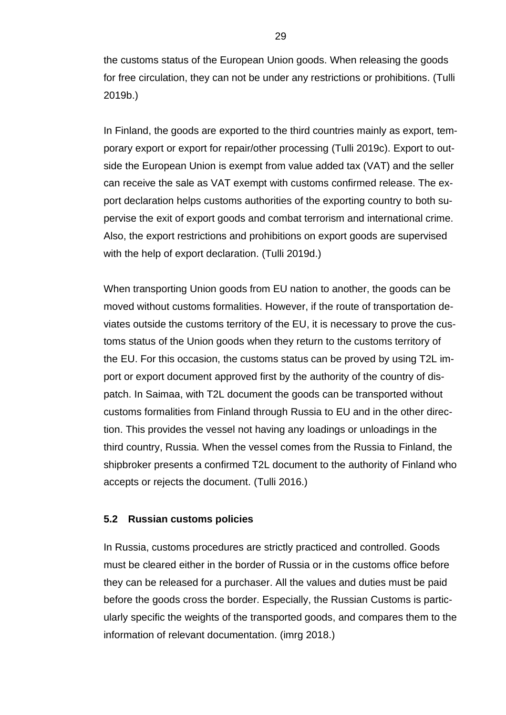the customs status of the European Union goods. When releasing the goods for free circulation, they can not be under any restrictions or prohibitions. (Tulli 2019b.)

In Finland, the goods are exported to the third countries mainly as export, temporary export or export for repair/other processing (Tulli 2019c). Export to outside the European Union is exempt from value added tax (VAT) and the seller can receive the sale as VAT exempt with customs confirmed release. The export declaration helps customs authorities of the exporting country to both supervise the exit of export goods and combat terrorism and international crime. Also, the export restrictions and prohibitions on export goods are supervised with the help of export declaration. (Tulli 2019d.)

When transporting Union goods from EU nation to another, the goods can be moved without customs formalities. However, if the route of transportation deviates outside the customs territory of the EU, it is necessary to prove the customs status of the Union goods when they return to the customs territory of the EU. For this occasion, the customs status can be proved by using T2L import or export document approved first by the authority of the country of dispatch. In Saimaa, with T2L document the goods can be transported without customs formalities from Finland through Russia to EU and in the other direction. This provides the vessel not having any loadings or unloadings in the third country, Russia. When the vessel comes from the Russia to Finland, the shipbroker presents a confirmed T2L document to the authority of Finland who accepts or rejects the document. (Tulli 2016.)

#### <span id="page-28-0"></span>**5.2 Russian customs policies**

In Russia, customs procedures are strictly practiced and controlled. Goods must be cleared either in the border of Russia or in the customs office before they can be released for a purchaser. All the values and duties must be paid before the goods cross the border. Especially, the Russian Customs is particularly specific the weights of the transported goods, and compares them to the information of relevant documentation. (imrg 2018.)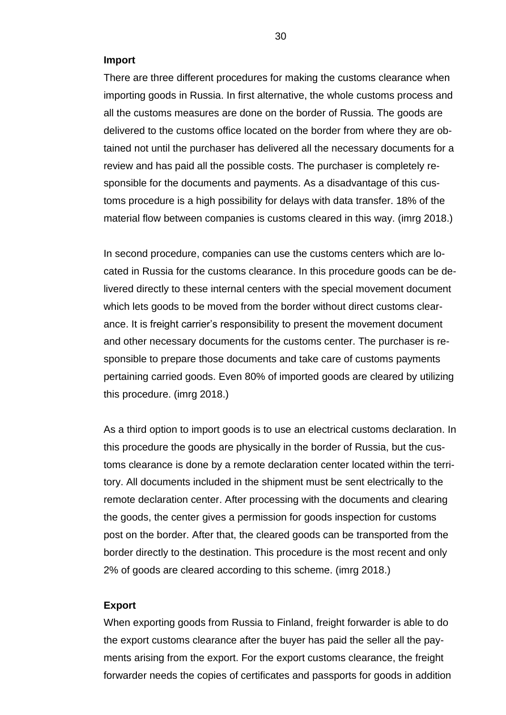#### **Import**

There are three different procedures for making the customs clearance when importing goods in Russia. In first alternative, the whole customs process and all the customs measures are done on the border of Russia. The goods are delivered to the customs office located on the border from where they are obtained not until the purchaser has delivered all the necessary documents for a review and has paid all the possible costs. The purchaser is completely responsible for the documents and payments. As a disadvantage of this customs procedure is a high possibility for delays with data transfer. 18% of the material flow between companies is customs cleared in this way. (imrg 2018.)

In second procedure, companies can use the customs centers which are located in Russia for the customs clearance. In this procedure goods can be delivered directly to these internal centers with the special movement document which lets goods to be moved from the border without direct customs clearance. It is freight carrier's responsibility to present the movement document and other necessary documents for the customs center. The purchaser is responsible to prepare those documents and take care of customs payments pertaining carried goods. Even 80% of imported goods are cleared by utilizing this procedure. (imrg 2018.)

As a third option to import goods is to use an electrical customs declaration. In this procedure the goods are physically in the border of Russia, but the customs clearance is done by a remote declaration center located within the territory. All documents included in the shipment must be sent electrically to the remote declaration center. After processing with the documents and clearing the goods, the center gives a permission for goods inspection for customs post on the border. After that, the cleared goods can be transported from the border directly to the destination. This procedure is the most recent and only 2% of goods are cleared according to this scheme. (imrg 2018.)

#### **Export**

When exporting goods from Russia to Finland, freight forwarder is able to do the export customs clearance after the buyer has paid the seller all the payments arising from the export. For the export customs clearance, the freight forwarder needs the copies of certificates and passports for goods in addition

30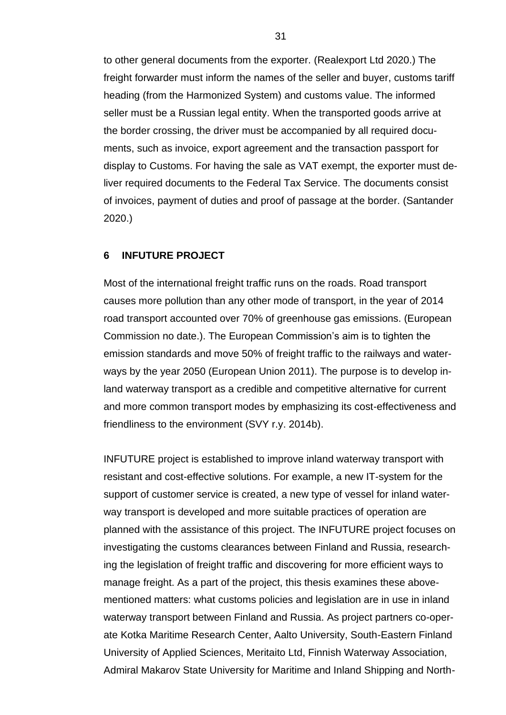to other general documents from the exporter. (Realexport Ltd 2020.) The freight forwarder must inform the names of the seller and buyer, customs tariff heading (from the Harmonized System) and customs value. The informed seller must be a Russian legal entity. When the transported goods arrive at the border crossing, the driver must be accompanied by all required documents, such as invoice, export agreement and the transaction passport for display to Customs. For having the sale as VAT exempt, the exporter must deliver required documents to the Federal Tax Service. The documents consist of invoices, payment of duties and proof of passage at the border. (Santander 2020.)

#### <span id="page-30-0"></span>**6 INFUTURE PROJECT**

Most of the international freight traffic runs on the roads. Road transport causes more pollution than any other mode of transport, in the year of 2014 road transport accounted over 70% of greenhouse gas emissions. (European Commission no date.). The European Commission's aim is to tighten the emission standards and move 50% of freight traffic to the railways and waterways by the year 2050 (European Union 2011). The purpose is to develop inland waterway transport as a credible and competitive alternative for current and more common transport modes by emphasizing its cost-effectiveness and friendliness to the environment (SVY r.y. 2014b).

INFUTURE project is established to improve inland waterway transport with resistant and cost-effective solutions. For example, a new IT-system for the support of customer service is created, a new type of vessel for inland waterway transport is developed and more suitable practices of operation are planned with the assistance of this project. The INFUTURE project focuses on investigating the customs clearances between Finland and Russia, researching the legislation of freight traffic and discovering for more efficient ways to manage freight. As a part of the project, this thesis examines these abovementioned matters: what customs policies and legislation are in use in inland waterway transport between Finland and Russia. As project partners co-operate Kotka Maritime Research Center, Aalto University, South-Eastern Finland University of Applied Sciences, Meritaito Ltd, Finnish Waterway Association, Admiral Makarov State University for Maritime and Inland Shipping and North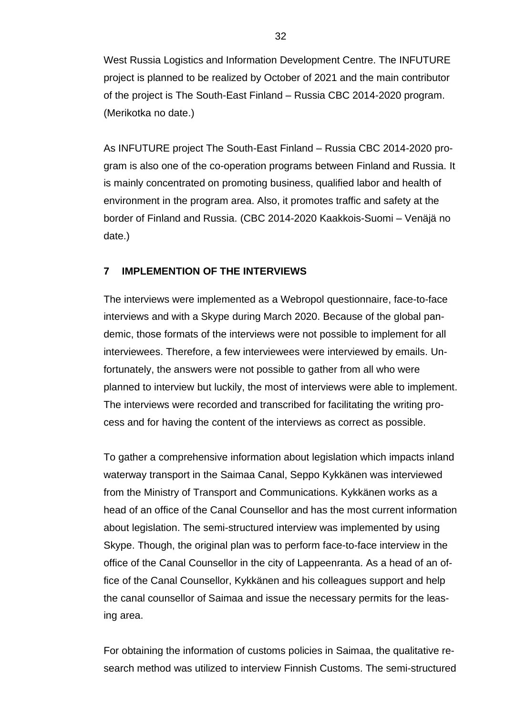West Russia Logistics and Information Development Centre. The INFUTURE project is planned to be realized by October of 2021 and the main contributor of the project is The South-East Finland – Russia CBC 2014-2020 program. (Merikotka no date.)

As INFUTURE project The South-East Finland – Russia CBC 2014-2020 program is also one of the co-operation programs between Finland and Russia. It is mainly concentrated on promoting business, qualified labor and health of environment in the program area. Also, it promotes traffic and safety at the border of Finland and Russia. (CBC 2014-2020 Kaakkois-Suomi – Venäjä no date.)

#### <span id="page-31-0"></span>**7 IMPLEMENTION OF THE INTERVIEWS**

The interviews were implemented as a Webropol questionnaire, face-to-face interviews and with a Skype during March 2020. Because of the global pandemic, those formats of the interviews were not possible to implement for all interviewees. Therefore, a few interviewees were interviewed by emails. Unfortunately, the answers were not possible to gather from all who were planned to interview but luckily, the most of interviews were able to implement. The interviews were recorded and transcribed for facilitating the writing process and for having the content of the interviews as correct as possible.

To gather a comprehensive information about legislation which impacts inland waterway transport in the Saimaa Canal, Seppo Kykkänen was interviewed from the Ministry of Transport and Communications. Kykkänen works as a head of an office of the Canal Counsellor and has the most current information about legislation. The semi-structured interview was implemented by using Skype. Though, the original plan was to perform face-to-face interview in the office of the Canal Counsellor in the city of Lappeenranta. As a head of an office of the Canal Counsellor, Kykkänen and his colleagues support and help the canal counsellor of Saimaa and issue the necessary permits for the leasing area.

For obtaining the information of customs policies in Saimaa, the qualitative research method was utilized to interview Finnish Customs. The semi-structured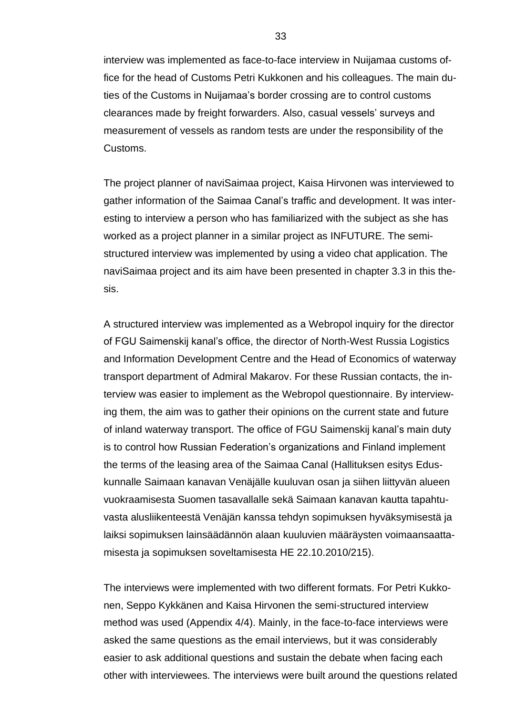interview was implemented as face-to-face interview in Nuijamaa customs office for the head of Customs Petri Kukkonen and his colleagues. The main duties of the Customs in Nuijamaa's border crossing are to control customs clearances made by freight forwarders. Also, casual vessels' surveys and measurement of vessels as random tests are under the responsibility of the Customs.

The project planner of naviSaimaa project, Kaisa Hirvonen was interviewed to gather information of the Saimaa Canal's traffic and development. It was interesting to interview a person who has familiarized with the subject as she has worked as a project planner in a similar project as INFUTURE. The semistructured interview was implemented by using a video chat application. The naviSaimaa project and its aim have been presented in chapter 3.3 in this thesis.

A structured interview was implemented as a Webropol inquiry for the director of FGU Saimenskij kanal's office, the director of North-West Russia Logistics and Information Development Centre and the Head of Economics of waterway transport department of Admiral Makarov. For these Russian contacts, the interview was easier to implement as the Webropol questionnaire. By interviewing them, the aim was to gather their opinions on the current state and future of inland waterway transport. The office of FGU Saimenskij kanal's main duty is to control how Russian Federation's organizations and Finland implement the terms of the leasing area of the Saimaa Canal (Hallituksen esitys Eduskunnalle Saimaan kanavan Venäjälle kuuluvan osan ja siihen liittyvän alueen vuokraamisesta Suomen tasavallalle sekä Saimaan kanavan kautta tapahtuvasta alusliikenteestä Venäjän kanssa tehdyn sopimuksen hyväksymisestä ja laiksi sopimuksen lainsäädännön alaan kuuluvien määräysten voimaansaattamisesta ja sopimuksen soveltamisesta HE 22.10.2010/215).

The interviews were implemented with two different formats. For Petri Kukkonen, Seppo Kykkänen and Kaisa Hirvonen the semi-structured interview method was used (Appendix 4/4). Mainly, in the face-to-face interviews were asked the same questions as the email interviews, but it was considerably easier to ask additional questions and sustain the debate when facing each other with interviewees. The interviews were built around the questions related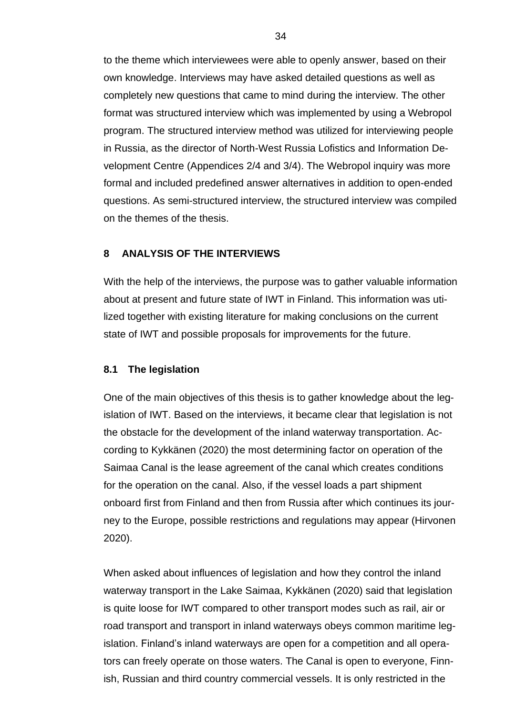to the theme which interviewees were able to openly answer, based on their own knowledge. Interviews may have asked detailed questions as well as completely new questions that came to mind during the interview. The other format was structured interview which was implemented by using a Webropol program. The structured interview method was utilized for interviewing people in Russia, as the director of North-West Russia Lofistics and Information Development Centre (Appendices 2/4 and 3/4). The Webropol inquiry was more formal and included predefined answer alternatives in addition to open-ended questions. As semi-structured interview, the structured interview was compiled on the themes of the thesis.

#### <span id="page-33-0"></span>**8 ANALYSIS OF THE INTERVIEWS**

With the help of the interviews, the purpose was to gather valuable information about at present and future state of IWT in Finland. This information was utilized together with existing literature for making conclusions on the current state of IWT and possible proposals for improvements for the future.

#### <span id="page-33-1"></span>**8.1 The legislation**

One of the main objectives of this thesis is to gather knowledge about the legislation of IWT. Based on the interviews, it became clear that legislation is not the obstacle for the development of the inland waterway transportation. According to Kykkänen (2020) the most determining factor on operation of the Saimaa Canal is the lease agreement of the canal which creates conditions for the operation on the canal. Also, if the vessel loads a part shipment onboard first from Finland and then from Russia after which continues its journey to the Europe, possible restrictions and regulations may appear (Hirvonen 2020).

When asked about influences of legislation and how they control the inland waterway transport in the Lake Saimaa, Kykkänen (2020) said that legislation is quite loose for IWT compared to other transport modes such as rail, air or road transport and transport in inland waterways obeys common maritime legislation. Finland's inland waterways are open for a competition and all operators can freely operate on those waters. The Canal is open to everyone, Finnish, Russian and third country commercial vessels. It is only restricted in the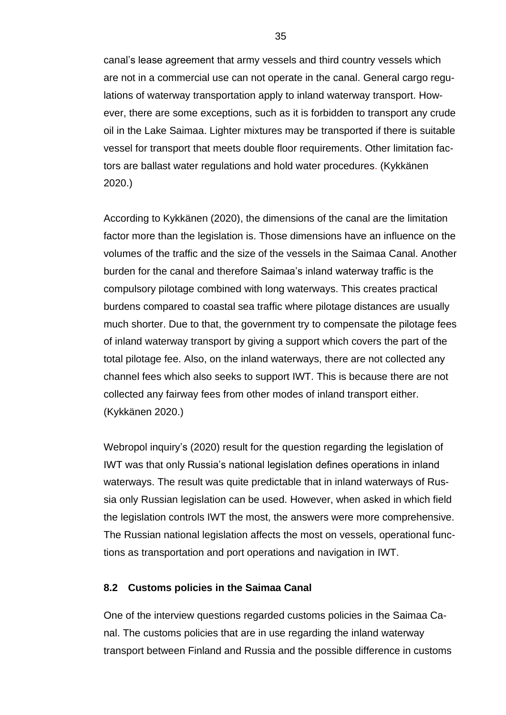canal's lease agreement that army vessels and third country vessels which are not in a commercial use can not operate in the canal. General cargo regulations of waterway transportation apply to inland waterway transport. However, there are some exceptions, such as it is forbidden to transport any crude oil in the Lake Saimaa. Lighter mixtures may be transported if there is suitable vessel for transport that meets double floor requirements. Other limitation factors are ballast water regulations and hold water procedures. (Kykkänen 2020.)

According to Kykkänen (2020), the dimensions of the canal are the limitation factor more than the legislation is. Those dimensions have an influence on the volumes of the traffic and the size of the vessels in the Saimaa Canal. Another burden for the canal and therefore Saimaa's inland waterway traffic is the compulsory pilotage combined with long waterways. This creates practical burdens compared to coastal sea traffic where pilotage distances are usually much shorter. Due to that, the government try to compensate the pilotage fees of inland waterway transport by giving a support which covers the part of the total pilotage fee. Also, on the inland waterways, there are not collected any channel fees which also seeks to support IWT. This is because there are not collected any fairway fees from other modes of inland transport either. (Kykkänen 2020.)

Webropol inquiry's (2020) result for the question regarding the legislation of IWT was that only Russia's national legislation defines operations in inland waterways. The result was quite predictable that in inland waterways of Russia only Russian legislation can be used. However, when asked in which field the legislation controls IWT the most, the answers were more comprehensive. The Russian national legislation affects the most on vessels, operational functions as transportation and port operations and navigation in IWT.

#### <span id="page-34-0"></span>**8.2 Customs policies in the Saimaa Canal**

One of the interview questions regarded customs policies in the Saimaa Canal. The customs policies that are in use regarding the inland waterway transport between Finland and Russia and the possible difference in customs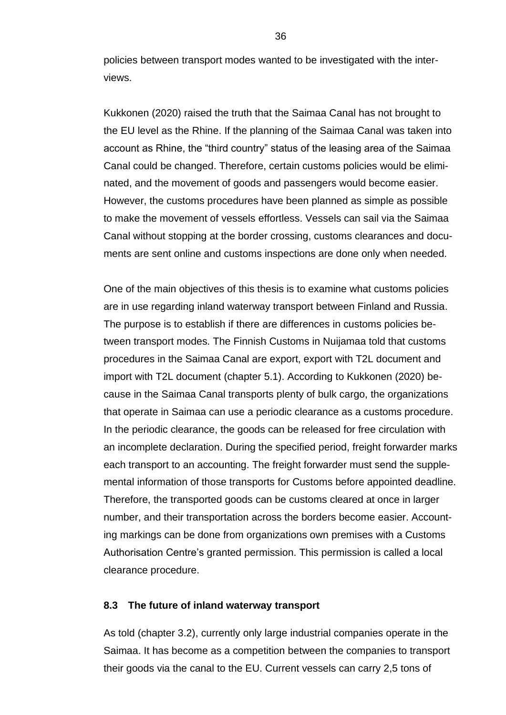policies between transport modes wanted to be investigated with the interviews.

Kukkonen (2020) raised the truth that the Saimaa Canal has not brought to the EU level as the Rhine. If the planning of the Saimaa Canal was taken into account as Rhine, the "third country" status of the leasing area of the Saimaa Canal could be changed. Therefore, certain customs policies would be eliminated, and the movement of goods and passengers would become easier. However, the customs procedures have been planned as simple as possible to make the movement of vessels effortless. Vessels can sail via the Saimaa Canal without stopping at the border crossing, customs clearances and documents are sent online and customs inspections are done only when needed.

One of the main objectives of this thesis is to examine what customs policies are in use regarding inland waterway transport between Finland and Russia. The purpose is to establish if there are differences in customs policies between transport modes. The Finnish Customs in Nuijamaa told that customs procedures in the Saimaa Canal are export, export with T2L document and import with T2L document (chapter 5.1). According to Kukkonen (2020) because in the Saimaa Canal transports plenty of bulk cargo, the organizations that operate in Saimaa can use a periodic clearance as a customs procedure. In the periodic clearance, the goods can be released for free circulation with an incomplete declaration. During the specified period, freight forwarder marks each transport to an accounting. The freight forwarder must send the supplemental information of those transports for Customs before appointed deadline. Therefore, the transported goods can be customs cleared at once in larger number, and their transportation across the borders become easier. Accounting markings can be done from organizations own premises with a Customs Authorisation Centre's granted permission. This permission is called a local clearance procedure.

#### <span id="page-35-0"></span>**8.3 The future of inland waterway transport**

As told (chapter 3.2), currently only large industrial companies operate in the Saimaa. It has become as a competition between the companies to transport their goods via the canal to the EU. Current vessels can carry 2,5 tons of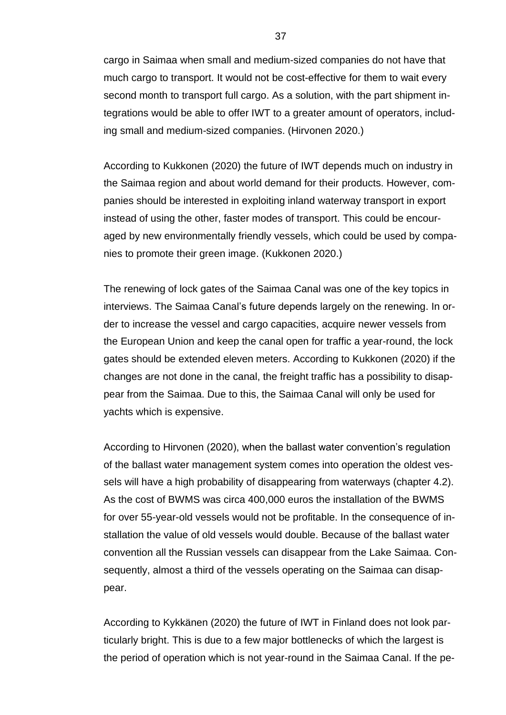cargo in Saimaa when small and medium-sized companies do not have that much cargo to transport. It would not be cost-effective for them to wait every second month to transport full cargo. As a solution, with the part shipment integrations would be able to offer IWT to a greater amount of operators, including small and medium-sized companies. (Hirvonen 2020.)

According to Kukkonen (2020) the future of IWT depends much on industry in the Saimaa region and about world demand for their products. However, companies should be interested in exploiting inland waterway transport in export instead of using the other, faster modes of transport. This could be encouraged by new environmentally friendly vessels, which could be used by companies to promote their green image. (Kukkonen 2020.)

The renewing of lock gates of the Saimaa Canal was one of the key topics in interviews. The Saimaa Canal's future depends largely on the renewing. In order to increase the vessel and cargo capacities, acquire newer vessels from the European Union and keep the canal open for traffic a year-round, the lock gates should be extended eleven meters. According to Kukkonen (2020) if the changes are not done in the canal, the freight traffic has a possibility to disappear from the Saimaa. Due to this, the Saimaa Canal will only be used for yachts which is expensive.

According to Hirvonen (2020), when the ballast water convention's regulation of the ballast water management system comes into operation the oldest vessels will have a high probability of disappearing from waterways (chapter 4.2). As the cost of BWMS was circa 400,000 euros the installation of the BWMS for over 55-year-old vessels would not be profitable. In the consequence of installation the value of old vessels would double. Because of the ballast water convention all the Russian vessels can disappear from the Lake Saimaa. Consequently, almost a third of the vessels operating on the Saimaa can disappear.

According to Kykkänen (2020) the future of IWT in Finland does not look particularly bright. This is due to a few major bottlenecks of which the largest is the period of operation which is not year-round in the Saimaa Canal. If the pe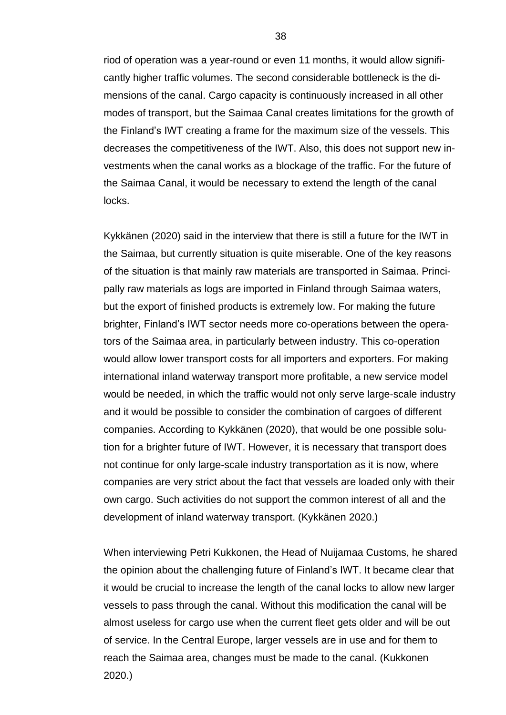riod of operation was a year-round or even 11 months, it would allow significantly higher traffic volumes. The second considerable bottleneck is the dimensions of the canal. Cargo capacity is continuously increased in all other modes of transport, but the Saimaa Canal creates limitations for the growth of the Finland's IWT creating a frame for the maximum size of the vessels. This decreases the competitiveness of the IWT. Also, this does not support new investments when the canal works as a blockage of the traffic. For the future of the Saimaa Canal, it would be necessary to extend the length of the canal locks.

Kykkänen (2020) said in the interview that there is still a future for the IWT in the Saimaa, but currently situation is quite miserable. One of the key reasons of the situation is that mainly raw materials are transported in Saimaa. Principally raw materials as logs are imported in Finland through Saimaa waters, but the export of finished products is extremely low. For making the future brighter, Finland's IWT sector needs more co-operations between the operators of the Saimaa area, in particularly between industry. This co-operation would allow lower transport costs for all importers and exporters. For making international inland waterway transport more profitable, a new service model would be needed, in which the traffic would not only serve large-scale industry and it would be possible to consider the combination of cargoes of different companies. According to Kykkänen (2020), that would be one possible solution for a brighter future of IWT. However, it is necessary that transport does not continue for only large-scale industry transportation as it is now, where companies are very strict about the fact that vessels are loaded only with their own cargo. Such activities do not support the common interest of all and the development of inland waterway transport. (Kykkänen 2020.)

When interviewing Petri Kukkonen, the Head of Nuijamaa Customs, he shared the opinion about the challenging future of Finland's IWT. It became clear that it would be crucial to increase the length of the canal locks to allow new larger vessels to pass through the canal. Without this modification the canal will be almost useless for cargo use when the current fleet gets older and will be out of service. In the Central Europe, larger vessels are in use and for them to reach the Saimaa area, changes must be made to the canal. (Kukkonen 2020.)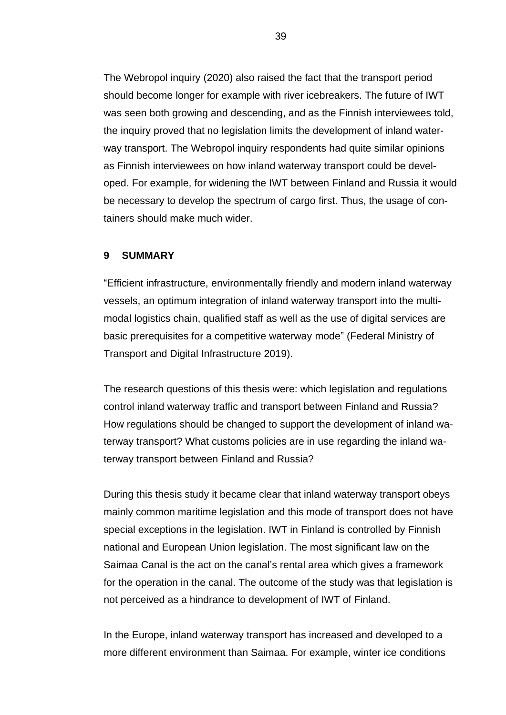The Webropol inquiry (2020) also raised the fact that the transport period should become longer for example with river icebreakers. The future of IWT was seen both growing and descending, and as the Finnish interviewees told, the inquiry proved that no legislation limits the development of inland waterway transport. The Webropol inquiry respondents had quite similar opinions as Finnish interviewees on how inland waterway transport could be developed. For example, for widening the IWT between Finland and Russia it would be necessary to develop the spectrum of cargo first. Thus, the usage of containers should make much wider.

#### <span id="page-38-0"></span>**9 SUMMARY**

"Efficient infrastructure, environmentally friendly and modern inland waterway vessels, an optimum integration of inland waterway transport into the multimodal logistics chain, qualified staff as well as the use of digital services are basic prerequisites for a competitive waterway mode" (Federal Ministry of Transport and Digital Infrastructure 2019).

The research questions of this thesis were: which legislation and regulations control inland waterway traffic and transport between Finland and Russia? How regulations should be changed to support the development of inland waterway transport? What customs policies are in use regarding the inland waterway transport between Finland and Russia?

During this thesis study it became clear that inland waterway transport obeys mainly common maritime legislation and this mode of transport does not have special exceptions in the legislation. IWT in Finland is controlled by Finnish national and European Union legislation. The most significant law on the Saimaa Canal is the act on the canal's rental area which gives a framework for the operation in the canal. The outcome of the study was that legislation is not perceived as a hindrance to development of IWT of Finland.

In the Europe, inland waterway transport has increased and developed to a more different environment than Saimaa. For example, winter ice conditions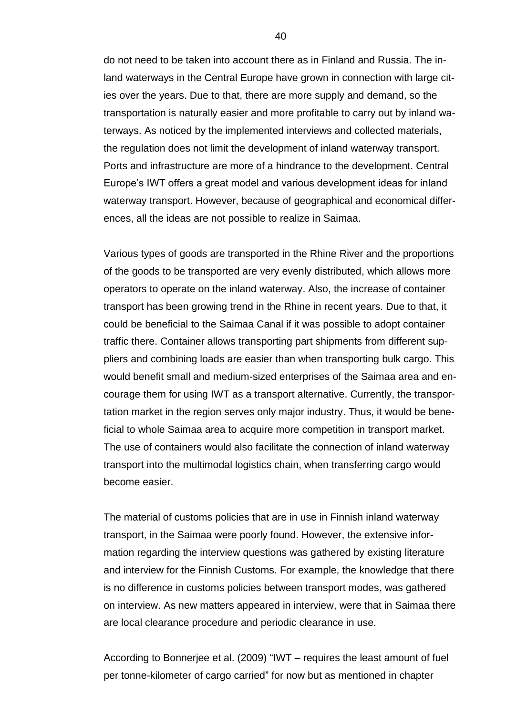do not need to be taken into account there as in Finland and Russia. The inland waterways in the Central Europe have grown in connection with large cities over the years. Due to that, there are more supply and demand, so the transportation is naturally easier and more profitable to carry out by inland waterways. As noticed by the implemented interviews and collected materials, the regulation does not limit the development of inland waterway transport. Ports and infrastructure are more of a hindrance to the development. Central Europe's IWT offers a great model and various development ideas for inland waterway transport. However, because of geographical and economical differences, all the ideas are not possible to realize in Saimaa.

Various types of goods are transported in the Rhine River and the proportions of the goods to be transported are very evenly distributed, which allows more operators to operate on the inland waterway. Also, the increase of container transport has been growing trend in the Rhine in recent years. Due to that, it could be beneficial to the Saimaa Canal if it was possible to adopt container traffic there. Container allows transporting part shipments from different suppliers and combining loads are easier than when transporting bulk cargo. This would benefit small and medium-sized enterprises of the Saimaa area and encourage them for using IWT as a transport alternative. Currently, the transportation market in the region serves only major industry. Thus, it would be beneficial to whole Saimaa area to acquire more competition in transport market. The use of containers would also facilitate the connection of inland waterway transport into the multimodal logistics chain, when transferring cargo would become easier.

The material of customs policies that are in use in Finnish inland waterway transport, in the Saimaa were poorly found. However, the extensive information regarding the interview questions was gathered by existing literature and interview for the Finnish Customs. For example, the knowledge that there is no difference in customs policies between transport modes, was gathered on interview. As new matters appeared in interview, were that in Saimaa there are local clearance procedure and periodic clearance in use.

According to Bonnerjee et al. (2009) "IWT – requires the least amount of fuel per tonne-kilometer of cargo carried" for now but as mentioned in chapter

40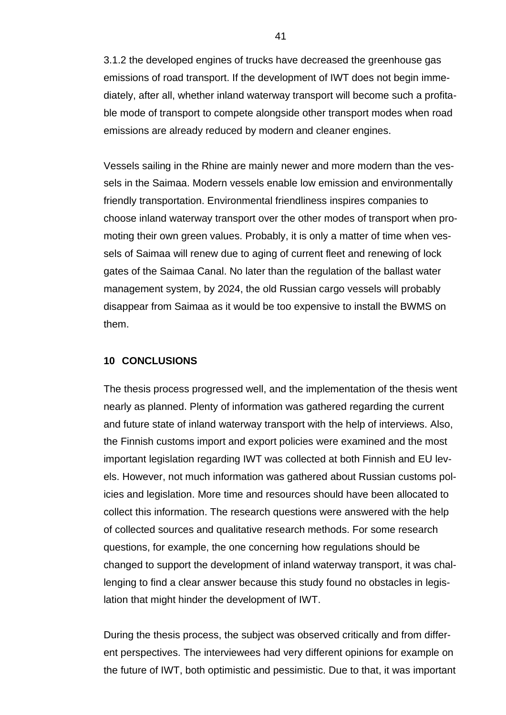3.1.2 the developed engines of trucks have decreased the greenhouse gas emissions of road transport. If the development of IWT does not begin immediately, after all, whether inland waterway transport will become such a profitable mode of transport to compete alongside other transport modes when road emissions are already reduced by modern and cleaner engines.

Vessels sailing in the Rhine are mainly newer and more modern than the vessels in the Saimaa. Modern vessels enable low emission and environmentally friendly transportation. Environmental friendliness inspires companies to choose inland waterway transport over the other modes of transport when promoting their own green values. Probably, it is only a matter of time when vessels of Saimaa will renew due to aging of current fleet and renewing of lock gates of the Saimaa Canal. No later than the regulation of the ballast water management system, by 2024, the old Russian cargo vessels will probably disappear from Saimaa as it would be too expensive to install the BWMS on them.

#### <span id="page-40-0"></span>**10 CONCLUSIONS**

The thesis process progressed well, and the implementation of the thesis went nearly as planned. Plenty of information was gathered regarding the current and future state of inland waterway transport with the help of interviews. Also, the Finnish customs import and export policies were examined and the most important legislation regarding IWT was collected at both Finnish and EU levels. However, not much information was gathered about Russian customs policies and legislation. More time and resources should have been allocated to collect this information. The research questions were answered with the help of collected sources and qualitative research methods. For some research questions, for example, the one concerning how regulations should be changed to support the development of inland waterway transport, it was challenging to find a clear answer because this study found no obstacles in legislation that might hinder the development of IWT.

During the thesis process, the subject was observed critically and from different perspectives. The interviewees had very different opinions for example on the future of IWT, both optimistic and pessimistic. Due to that, it was important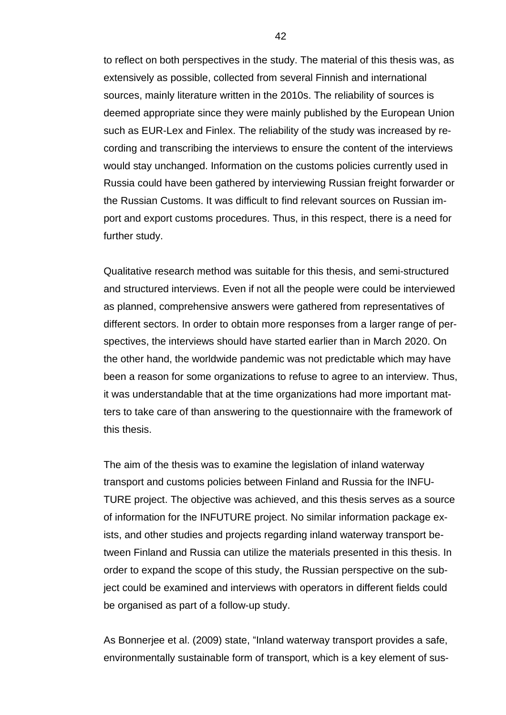to reflect on both perspectives in the study. The material of this thesis was, as extensively as possible, collected from several Finnish and international sources, mainly literature written in the 2010s. The reliability of sources is deemed appropriate since they were mainly published by the European Union such as EUR-Lex and Finlex. The reliability of the study was increased by recording and transcribing the interviews to ensure the content of the interviews would stay unchanged. Information on the customs policies currently used in Russia could have been gathered by interviewing Russian freight forwarder or the Russian Customs. It was difficult to find relevant sources on Russian import and export customs procedures. Thus, in this respect, there is a need for further study.

Qualitative research method was suitable for this thesis, and semi-structured and structured interviews. Even if not all the people were could be interviewed as planned, comprehensive answers were gathered from representatives of different sectors. In order to obtain more responses from a larger range of perspectives, the interviews should have started earlier than in March 2020. On the other hand, the worldwide pandemic was not predictable which may have been a reason for some organizations to refuse to agree to an interview. Thus, it was understandable that at the time organizations had more important matters to take care of than answering to the questionnaire with the framework of this thesis.

The aim of the thesis was to examine the legislation of inland waterway transport and customs policies between Finland and Russia for the INFU-TURE project. The objective was achieved, and this thesis serves as a source of information for the INFUTURE project. No similar information package exists, and other studies and projects regarding inland waterway transport between Finland and Russia can utilize the materials presented in this thesis. In order to expand the scope of this study, the Russian perspective on the subject could be examined and interviews with operators in different fields could be organised as part of a follow-up study.

As Bonnerjee et al. (2009) state, "Inland waterway transport provides a safe, environmentally sustainable form of transport, which is a key element of sus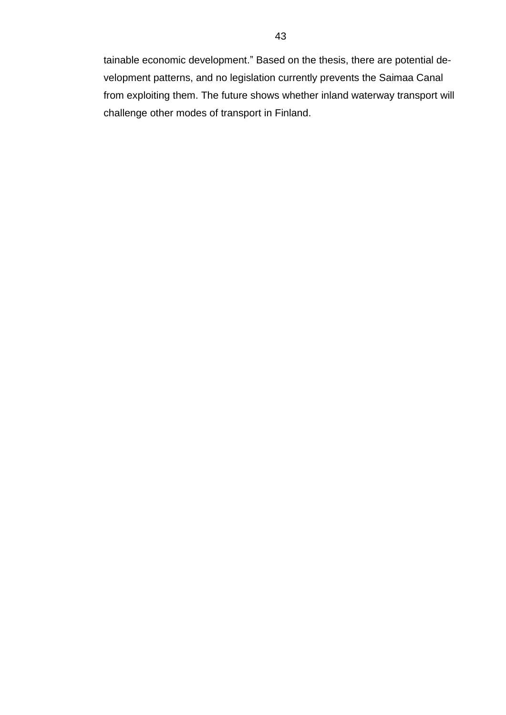tainable economic development." Based on the thesis, there are potential development patterns, and no legislation currently prevents the Saimaa Canal from exploiting them. The future shows whether inland waterway transport will challenge other modes of transport in Finland.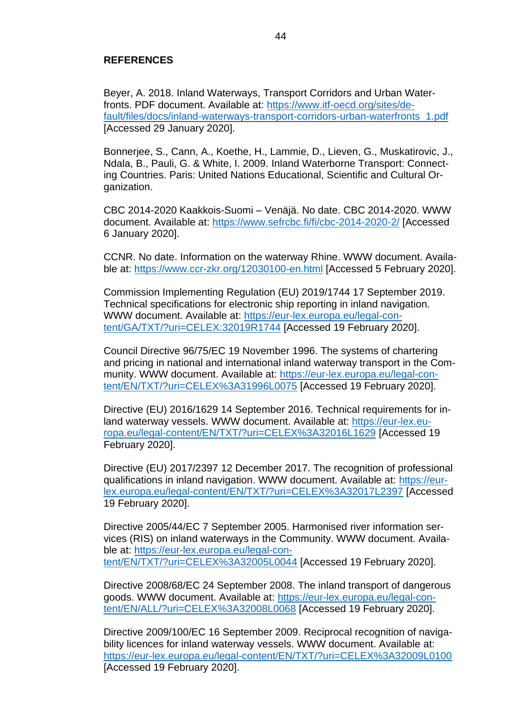#### <span id="page-43-0"></span>**REFERENCES**

Beyer, A. 2018. Inland Waterways, Transport Corridors and Urban Waterfronts. PDF document. Available at: [https://www.itf-oecd.org/sites/de](https://www.itf-oecd.org/sites/default/files/docs/inland-waterways-transport-corridors-urban-waterfronts_1.pdf)[fault/files/docs/inland-waterways-transport-corridors-urban-waterfronts\\_1.pdf](https://www.itf-oecd.org/sites/default/files/docs/inland-waterways-transport-corridors-urban-waterfronts_1.pdf) [Accessed 29 January 2020].

Bonnerjee, S., Cann, A., Koethe, H., Lammie, D., Lieven, G., Muskatirovic, J., Ndala, B., Pauli, G. & White, I. 2009. Inland Waterborne Transport: Connecting Countries. Paris: United Nations Educational, Scientific and Cultural Organization.

CBC 2014-2020 Kaakkois-Suomi – Venäjä. No date. CBC 2014-2020. WWW document. Available at:<https://www.sefrcbc.fi/fi/cbc-2014-2020-2/> [Accessed 6 January 2020].

CCNR. No date. Information on the waterway Rhine. WWW document. Available at:<https://www.ccr-zkr.org/12030100-en.html> [Accessed 5 February 2020].

Commission Implementing Regulation (EU) 2019/1744 17 September 2019. Technical specifications for electronic ship reporting in inland navigation. WWW document. Available at: [https://eur-lex.europa.eu/legal-con](https://eur-lex.europa.eu/legal-content/GA/TXT/?uri=CELEX:32019R1744)[tent/GA/TXT/?uri=CELEX:32019R1744](https://eur-lex.europa.eu/legal-content/GA/TXT/?uri=CELEX:32019R1744) [Accessed 19 February 2020].

Council Directive 96/75/EC 19 November 1996. The systems of chartering and pricing in national and international inland waterway transport in the Community. WWW document. Available at: [https://eur-lex.europa.eu/legal-con](https://eur-lex.europa.eu/legal-content/EN/TXT/?uri=CELEX%3A31996L0075)[tent/EN/TXT/?uri=CELEX%3A31996L0075](https://eur-lex.europa.eu/legal-content/EN/TXT/?uri=CELEX%3A31996L0075) [Accessed 19 February 2020].

Directive (EU) 2016/1629 14 September 2016. Technical requirements for inland waterway vessels. WWW document. Available at: [https://eur-lex.eu](https://eur-lex.europa.eu/legal-content/EN/TXT/?uri=CELEX%3A32016L1629)[ropa.eu/legal-content/EN/TXT/?uri=CELEX%3A32016L1629](https://eur-lex.europa.eu/legal-content/EN/TXT/?uri=CELEX%3A32016L1629) [Accessed 19 February 2020].

Directive (EU) 2017/2397 12 December 2017. The recognition of professional qualifications in inland navigation. WWW document. Available at: [https://eur](https://eur-lex.europa.eu/legal-content/EN/TXT/?uri=CELEX%3A32017L2397)[lex.europa.eu/legal-content/EN/TXT/?uri=CELEX%3A32017L2397](https://eur-lex.europa.eu/legal-content/EN/TXT/?uri=CELEX%3A32017L2397) [Accessed 19 February 2020].

Directive 2005/44/EC 7 September 2005. Harmonised river information services (RIS) on inland waterways in the Community. WWW document. Available at: [https://eur-lex.europa.eu/legal-con](https://eur-lex.europa.eu/legal-content/EN/TXT/?uri=CELEX%3A32005L0044)[tent/EN/TXT/?uri=CELEX%3A32005L0044](https://eur-lex.europa.eu/legal-content/EN/TXT/?uri=CELEX%3A32005L0044) [Accessed 19 February 2020].

Directive 2008/68/EC 24 September 2008. The inland transport of dangerous goods. WWW document. Available at: [https://eur-lex.europa.eu/legal-con](https://eur-lex.europa.eu/legal-content/EN/ALL/?uri=CELEX%3A32008L0068)[tent/EN/ALL/?uri=CELEX%3A32008L0068](https://eur-lex.europa.eu/legal-content/EN/ALL/?uri=CELEX%3A32008L0068) [Accessed 19 February 2020].

Directive 2009/100/EC 16 September 2009. Reciprocal recognition of navigability licences for inland waterway vessels. WWW document. Available at: <https://eur-lex.europa.eu/legal-content/EN/TXT/?uri=CELEX%3A32009L0100> [Accessed 19 February 2020].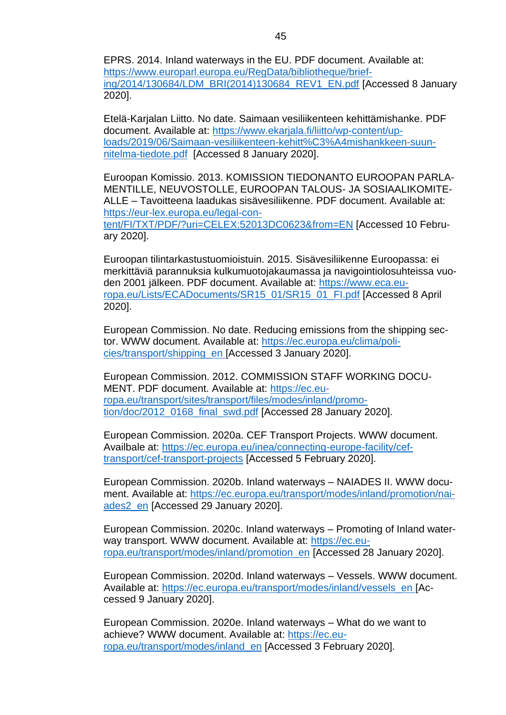EPRS. 2014. Inland waterways in the EU. PDF document. Available at: [https://www.europarl.europa.eu/RegData/bibliotheque/brief](https://www.europarl.europa.eu/RegData/bibliotheque/briefing/2014/130684/LDM_BRI(2014)130684_REV1_EN.pdf)[ing/2014/130684/LDM\\_BRI\(2014\)130684\\_REV1\\_EN.pdf](https://www.europarl.europa.eu/RegData/bibliotheque/briefing/2014/130684/LDM_BRI(2014)130684_REV1_EN.pdf) [Accessed 8 January 2020].

Etelä-Karjalan Liitto. No date. Saimaan vesiliikenteen kehittämishanke. PDF document. Available at: [https://www.ekarjala.fi/liitto/wp-content/up](https://www.ekarjala.fi/liitto/wp-content/uploads/2019/06/Saimaan-vesiliikenteen-kehitt%C3%A4mishankkeen-suunnitelma-tiedote.pdf)[loads/2019/06/Saimaan-vesiliikenteen-kehitt%C3%A4mishankkeen-suun](https://www.ekarjala.fi/liitto/wp-content/uploads/2019/06/Saimaan-vesiliikenteen-kehitt%C3%A4mishankkeen-suunnitelma-tiedote.pdf)[nitelma-tiedote.pdf](https://www.ekarjala.fi/liitto/wp-content/uploads/2019/06/Saimaan-vesiliikenteen-kehitt%C3%A4mishankkeen-suunnitelma-tiedote.pdf) [Accessed 8 January 2020].

Euroopan Komissio. 2013. KOMISSION TIEDONANTO EUROOPAN PARLA-MENTILLE, NEUVOSTOLLE, EUROOPAN TALOUS- JA SOSIAALIKOMITE-ALLE – Tavoitteena laadukas sisävesiliikenne. PDF document. Available at: [https://eur-lex.europa.eu/legal-con](https://eur-lex.europa.eu/legal-content/FI/TXT/PDF/?uri=CELEX:52013DC0623&from=EN)[tent/FI/TXT/PDF/?uri=CELEX:52013DC0623&from=EN](https://eur-lex.europa.eu/legal-content/FI/TXT/PDF/?uri=CELEX:52013DC0623&from=EN) [Accessed 10 February 2020].

Euroopan tilintarkastustuomioistuin. 2015. Sisävesiliikenne Euroopassa: ei merkittäviä parannuksia kulkumuotojakaumassa ja navigointiolosuhteissa vuoden 2001 jälkeen. PDF document. Available at: [https://www.eca.eu](https://www.eca.europa.eu/Lists/ECADocuments/SR15_01/SR15_01_FI.pdf)[ropa.eu/Lists/ECADocuments/SR15\\_01/SR15\\_01\\_FI.pdf](https://www.eca.europa.eu/Lists/ECADocuments/SR15_01/SR15_01_FI.pdf) [Accessed 8 April 2020].

European Commission. No date. Reducing emissions from the shipping sector. WWW document. Available at: [https://ec.europa.eu/clima/poli](https://ec.europa.eu/clima/policies/transport/shipping_en)[cies/transport/shipping\\_en](https://ec.europa.eu/clima/policies/transport/shipping_en) [Accessed 3 January 2020].

European Commission. 2012. COMMISSION STAFF WORKING DOCU-MENT. PDF document. Available at: [https://ec.eu](https://ec.europa.eu/transport/sites/transport/files/modes/inland/promotion/doc/2012_0168_final_swd.pdf)[ropa.eu/transport/sites/transport/files/modes/inland/promo](https://ec.europa.eu/transport/sites/transport/files/modes/inland/promotion/doc/2012_0168_final_swd.pdf)[tion/doc/2012\\_0168\\_final\\_swd.pdf](https://ec.europa.eu/transport/sites/transport/files/modes/inland/promotion/doc/2012_0168_final_swd.pdf) [Accessed 28 January 2020].

European Commission. 2020a. CEF Transport Projects. WWW document. Availbale at: [https://ec.europa.eu/inea/connecting-europe-facility/cef](https://ec.europa.eu/inea/connecting-europe-facility/cef-transport/cef-transport-projects)[transport/cef-transport-projects](https://ec.europa.eu/inea/connecting-europe-facility/cef-transport/cef-transport-projects) [Accessed 5 February 2020].

European Commission. 2020b. Inland waterways – NAIADES II. WWW document. Available at: [https://ec.europa.eu/transport/modes/inland/promotion/nai](https://ec.europa.eu/transport/modes/inland/promotion/naiades2_en)[ades2\\_en](https://ec.europa.eu/transport/modes/inland/promotion/naiades2_en) [Accessed 29 January 2020].

European Commission. 2020c. Inland waterways – Promoting of Inland waterway transport. WWW document. Available at: [https://ec.eu](https://ec.europa.eu/transport/modes/inland/promotion_en)[ropa.eu/transport/modes/inland/promotion\\_en](https://ec.europa.eu/transport/modes/inland/promotion_en) [Accessed 28 January 2020].

European Commission. 2020d. Inland waterways – Vessels. WWW document. Available at: [https://ec.europa.eu/transport/modes/inland/vessels\\_en](https://ec.europa.eu/transport/modes/inland/vessels_en) [Accessed 9 January 2020].

European Commission. 2020e. Inland waterways – What do we want to achieve? WWW document. Available at: [https://ec.eu](https://ec.europa.eu/transport/modes/inland_en)[ropa.eu/transport/modes/inland\\_en](https://ec.europa.eu/transport/modes/inland_en) [Accessed 3 February 2020].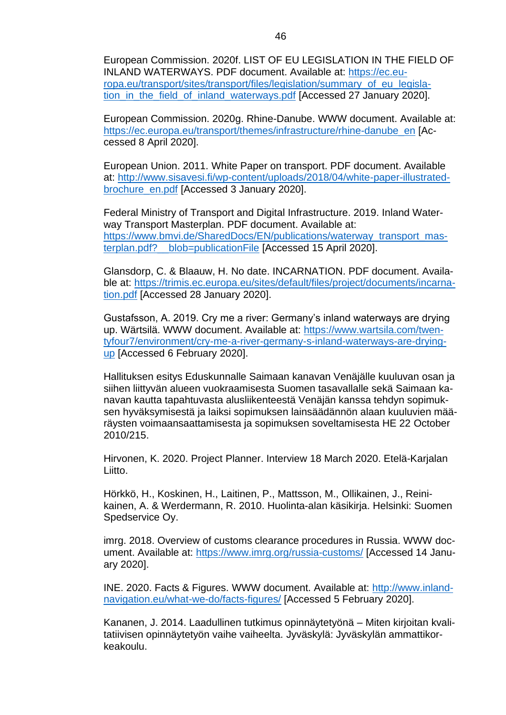European Commission. 2020f. LIST OF EU LEGISLATION IN THE FIELD OF INLAND WATERWAYS. PDF document. Available at: [https://ec.eu](https://ec.europa.eu/transport/sites/transport/files/legislation/summary_of_eu_legislation_in_the_field_of_inland_waterways.pdf)[ropa.eu/transport/sites/transport/files/legislation/summary\\_of\\_eu\\_legisla](https://ec.europa.eu/transport/sites/transport/files/legislation/summary_of_eu_legislation_in_the_field_of_inland_waterways.pdf)[tion\\_in\\_the\\_field\\_of\\_inland\\_waterways.pdf](https://ec.europa.eu/transport/sites/transport/files/legislation/summary_of_eu_legislation_in_the_field_of_inland_waterways.pdf) [Accessed 27 January 2020].

European Commission. 2020g. Rhine-Danube. WWW document. Available at: [https://ec.europa.eu/transport/themes/infrastructure/rhine-danube\\_en](https://ec.europa.eu/transport/themes/infrastructure/rhine-danube_en) [Accessed 8 April 2020].

European Union. 2011. White Paper on transport. PDF document. Available at: [http://www.sisavesi.fi/wp-content/uploads/2018/04/white-paper-illustrated](http://www.sisavesi.fi/wp-content/uploads/2018/04/white-paper-illustrated-brochure_en.pdf)[brochure\\_en.pdf](http://www.sisavesi.fi/wp-content/uploads/2018/04/white-paper-illustrated-brochure_en.pdf) [Accessed 3 January 2020].

Federal Ministry of Transport and Digital Infrastructure. 2019. Inland Waterway Transport Masterplan. PDF document. Available at: [https://www.bmvi.de/SharedDocs/EN/publications/waterway\\_transport\\_mas](https://www.bmvi.de/SharedDocs/EN/publications/waterway_transport_masterplan.pdf?__blob=publicationFile)terplan.pdf? blob=publicationFile [Accessed 15 April 2020].

Glansdorp, C. & Blaauw, H. No date. INCARNATION. PDF document. Available at: [https://trimis.ec.europa.eu/sites/default/files/project/documents/incarna](https://trimis.ec.europa.eu/sites/default/files/project/documents/incarnation.pdf)[tion.pdf](https://trimis.ec.europa.eu/sites/default/files/project/documents/incarnation.pdf) [Accessed 28 January 2020].

Gustafsson, A. 2019. Cry me a river: Germany's inland waterways are drying up. Wärtsilä. WWW document. Available at: [https://www.wartsila.com/twen](https://www.wartsila.com/twentyfour7/environment/cry-me-a-river-germany-s-inland-waterways-are-drying-up)[tyfour7/environment/cry-me-a-river-germany-s-inland-waterways-are-drying](https://www.wartsila.com/twentyfour7/environment/cry-me-a-river-germany-s-inland-waterways-are-drying-up)[up](https://www.wartsila.com/twentyfour7/environment/cry-me-a-river-germany-s-inland-waterways-are-drying-up) [Accessed 6 February 2020].

Hallituksen esitys Eduskunnalle Saimaan kanavan Venäjälle kuuluvan osan ja siihen liittyvän alueen vuokraamisesta Suomen tasavallalle sekä Saimaan kanavan kautta tapahtuvasta alusliikenteestä Venäjän kanssa tehdyn sopimuksen hyväksymisestä ja laiksi sopimuksen lainsäädännön alaan kuuluvien määräysten voimaansaattamisesta ja sopimuksen soveltamisesta HE 22 October 2010/215.

Hirvonen, K. 2020. Project Planner. Interview 18 March 2020. Etelä-Karjalan Liitto.

Hörkkö, H., Koskinen, H., Laitinen, P., Mattsson, M., Ollikainen, J., Reinikainen, A. & Werdermann, R. 2010. Huolinta-alan käsikirja. Helsinki: Suomen Spedservice Oy.

imrg. 2018. Overview of customs clearance procedures in Russia. WWW document. Available at:<https://www.imrg.org/russia-customs/> [Accessed 14 January 2020].

INE. 2020. Facts & Figures. WWW document. Available at: [http://www.inland](http://www.inlandnavigation.eu/what-we-do/facts-figures/)[navigation.eu/what-we-do/facts-figures/](http://www.inlandnavigation.eu/what-we-do/facts-figures/) [Accessed 5 February 2020].

Kananen, J. 2014. Laadullinen tutkimus opinnäytetyönä – Miten kirjoitan kvalitatiivisen opinnäytetyön vaihe vaiheelta. Jyväskylä: Jyväskylän ammattikorkeakoulu.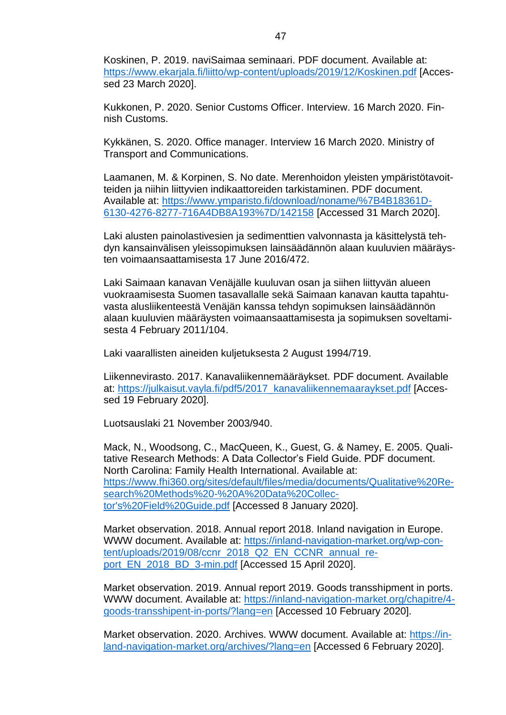Koskinen, P. 2019. naviSaimaa seminaari. PDF document. Available at: <https://www.ekarjala.fi/liitto/wp-content/uploads/2019/12/Koskinen.pdf> [Accessed 23 March 2020].

Kukkonen, P. 2020. Senior Customs Officer. Interview. 16 March 2020. Finnish Customs.

Kykkänen, S. 2020. Office manager. Interview 16 March 2020. Ministry of Transport and Communications.

Laamanen, M. & Korpinen, S. No date. Merenhoidon yleisten ympäristötavoitteiden ja niihin liittyvien indikaattoreiden tarkistaminen. PDF document. Available at: [https://www.ymparisto.fi/download/noname/%7B4B18361D-](https://www.ymparisto.fi/download/noname/%7B4B18361D-6130-4276-8277-716A4DB8A193%7D/142158)[6130-4276-8277-716A4DB8A193%7D/142158](https://www.ymparisto.fi/download/noname/%7B4B18361D-6130-4276-8277-716A4DB8A193%7D/142158) [Accessed 31 March 2020].

Laki alusten painolastivesien ja sedimenttien valvonnasta ja käsittelystä tehdyn kansainvälisen yleissopimuksen lainsäädännön alaan kuuluvien määräysten voimaansaattamisesta 17 June 2016/472.

Laki Saimaan kanavan Venäjälle kuuluvan osan ja siihen liittyvän alueen vuokraamisesta Suomen tasavallalle sekä Saimaan kanavan kautta tapahtuvasta alusliikenteestä Venäjän kanssa tehdyn sopimuksen lainsäädännön alaan kuuluvien määräysten voimaansaattamisesta ja sopimuksen soveltamisesta 4 February 2011/104.

Laki vaarallisten aineiden kuljetuksesta 2 August 1994/719.

Liikennevirasto. 2017. Kanavaliikennemääräykset. PDF document. Available at: [https://julkaisut.vayla.fi/pdf5/2017\\_kanavaliikennemaaraykset.pdf](https://julkaisut.vayla.fi/pdf5/2017_kanavaliikennemaaraykset.pdf) [Accessed 19 February 2020].

Luotsauslaki 21 November 2003/940.

Mack, N., Woodsong, C., MacQueen, K., Guest, G. & Namey, E. 2005. Qualitative Research Methods: A Data Collector's Field Guide. PDF document. North Carolina: Family Health International. Available at: [https://www.fhi360.org/sites/default/files/media/documents/Qualitative%20Re](https://www.fhi360.org/sites/default/files/media/documents/Qualitative%20Research%20Methods%20-%20A%20Data%20Collector)[search%20Methods%20-%20A%20Data%20Collec](https://www.fhi360.org/sites/default/files/media/documents/Qualitative%20Research%20Methods%20-%20A%20Data%20Collector)[tor's%20Field%20Guide.pdf](https://www.fhi360.org/sites/default/files/media/documents/Qualitative%20Research%20Methods%20-%20A%20Data%20Collector) [Accessed 8 January 2020].

Market observation. 2018. Annual report 2018. Inland navigation in Europe. WWW document. Available at: [https://inland-navigation-market.org/wp-con](https://inland-navigation-market.org/wp-content/uploads/2019/08/ccnr_2018_Q2_EN_CCNR_annual_report_EN_2018_BD_3-min.pdf)[tent/uploads/2019/08/ccnr\\_2018\\_Q2\\_EN\\_CCNR\\_annual\\_re](https://inland-navigation-market.org/wp-content/uploads/2019/08/ccnr_2018_Q2_EN_CCNR_annual_report_EN_2018_BD_3-min.pdf)[port\\_EN\\_2018\\_BD\\_3-min.pdf](https://inland-navigation-market.org/wp-content/uploads/2019/08/ccnr_2018_Q2_EN_CCNR_annual_report_EN_2018_BD_3-min.pdf) [Accessed 15 April 2020].

Market observation. 2019. Annual report 2019. Goods transshipment in ports. WWW document. Available at: [https://inland-navigation-market.org/chapitre/4](https://inland-navigation-market.org/chapitre/4-goods-transshipent-in-ports/?lang=en) [goods-transshipent-in-ports/?lang=en](https://inland-navigation-market.org/chapitre/4-goods-transshipent-in-ports/?lang=en) [Accessed 10 February 2020].

Market observation. 2020. Archives. WWW document. Available at: [https://in](https://inland-navigation-market.org/archives/?lang=en)[land-navigation-market.org/archives/?lang=en](https://inland-navigation-market.org/archives/?lang=en) [Accessed 6 February 2020].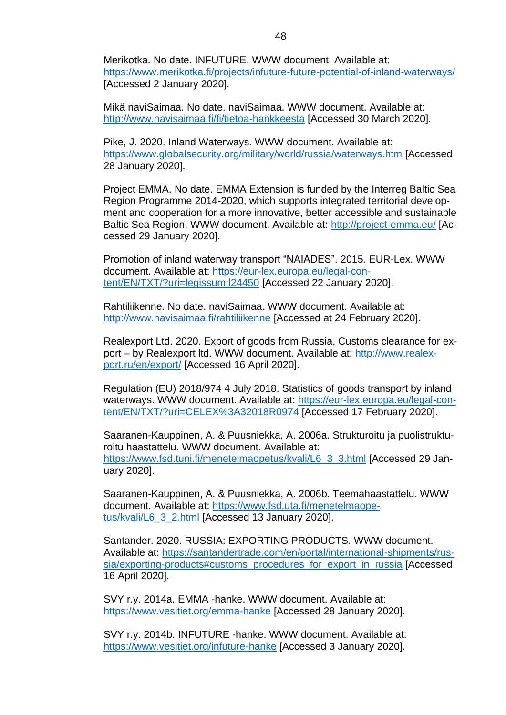Merikotka. No date. INFUTURE. WWW document. Available at: <https://www.merikotka.fi/projects/infuture-future-potential-of-inland-waterways/> [Accessed 2 January 2020].

Mikä naviSaimaa. No date. naviSaimaa. WWW document. Available at: <http://www.navisaimaa.fi/fi/tietoa-hankkeesta> [Accessed 30 March 2020].

Pike, J. 2020. Inland Waterways. WWW document. Available at: <https://www.globalsecurity.org/military/world/russia/waterways.htm> [Accessed 28 January 2020].

Project EMMA. No date. EMMA Extension is funded by the Interreg Baltic Sea Region Programme 2014-2020, which supports integrated territorial development and cooperation for a more innovative, better accessible and sustainable Baltic Sea Region. WWW document. Available at:<http://project-emma.eu/> [Accessed 29 January 2020].

Promotion of inland waterway transport "NAIADES". 2015. EUR-Lex. WWW document. Available at: [https://eur-lex.europa.eu/legal-con](https://eur-lex.europa.eu/legal-content/EN/TXT/?uri=legissum:l24450)[tent/EN/TXT/?uri=legissum:l24450](https://eur-lex.europa.eu/legal-content/EN/TXT/?uri=legissum:l24450) [Accessed 22 January 2020].

Rahtiliikenne. No date. naviSaimaa. WWW document. Available at: <http://www.navisaimaa.fi/rahtiliikenne> [Accessed at 24 February 2020].

Realexport Ltd. 2020. Export of goods from Russia, Customs clearance for export – by Realexport ltd. WWW document. Available at: [http://www.realex](http://www.realexport.ru/en/export/)[port.ru/en/export/](http://www.realexport.ru/en/export/) [Accessed 16 April 2020].

Regulation (EU) 2018/974 4 July 2018. Statistics of goods transport by inland waterways. WWW document. Available at: [https://eur-lex.europa.eu/legal-con](https://eur-lex.europa.eu/legal-content/EN/TXT/?uri=CELEX%3A32018R0974)[tent/EN/TXT/?uri=CELEX%3A32018R0974](https://eur-lex.europa.eu/legal-content/EN/TXT/?uri=CELEX%3A32018R0974) [Accessed 17 February 2020].

Saaranen-Kauppinen, A. & Puusniekka, A. 2006a. Strukturoitu ja puolistrukturoitu haastattelu. WWW document. Available at: [https://www.fsd.tuni.fi/menetelmaopetus/kvali/L6\\_3\\_3.html](https://www.fsd.tuni.fi/menetelmaopetus/kvali/L6_3_3.html) [Accessed 29 January 2020].

Saaranen-Kauppinen, A. & Puusniekka, A. 2006b. Teemahaastattelu. WWW document. Available at: [https://www.fsd.uta.fi/menetelmaope](https://www.fsd.uta.fi/menetelmaopetus/kvali/L6_3_2.html)[tus/kvali/L6\\_3\\_2.html](https://www.fsd.uta.fi/menetelmaopetus/kvali/L6_3_2.html) [Accessed 13 January 2020].

Santander. 2020. RUSSIA: EXPORTING PRODUCTS. WWW document. Available at: [https://santandertrade.com/en/portal/international-shipments/rus](https://santandertrade.com/en/portal/international-shipments/russia/exporting-products#customs_procedures_for_export_in_russia)[sia/exporting-products#customs\\_procedures\\_for\\_export\\_in\\_russia](https://santandertrade.com/en/portal/international-shipments/russia/exporting-products#customs_procedures_for_export_in_russia) [Accessed 16 April 2020].

SVY r.y. 2014a. EMMA -hanke. WWW document. Available at: <https://www.vesitiet.org/emma-hanke> [Accessed 28 January 2020].

SVY r.y. 2014b. INFUTURE -hanke. WWW document. Available at: <https://www.vesitiet.org/infuture-hanke> [Accessed 3 January 2020].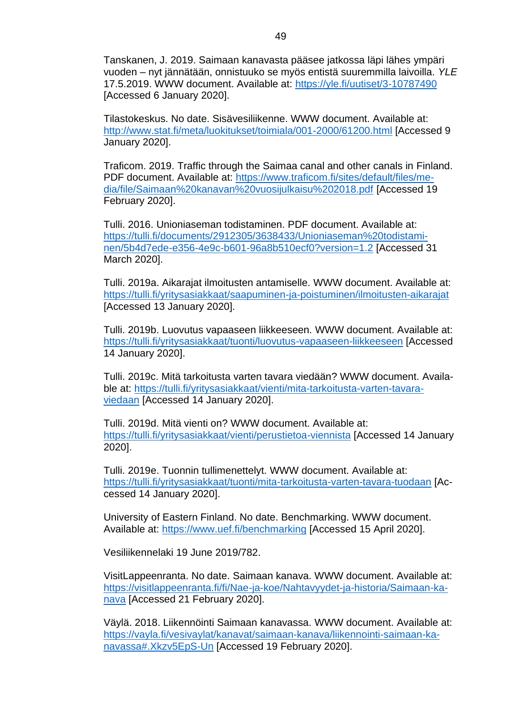Tanskanen, J. 2019. Saimaan kanavasta pääsee jatkossa läpi lähes ympäri vuoden – nyt jännätään, onnistuuko se myös entistä suuremmilla laivoilla. *YLE*  17.5.2019. WWW document. Available at:<https://yle.fi/uutiset/3-10787490> [Accessed 6 January 2020].

Tilastokeskus. No date. Sisävesiliikenne. WWW document. Available at: <http://www.stat.fi/meta/luokitukset/toimiala/001-2000/61200.html> [Accessed 9 January 2020].

Traficom. 2019. Traffic through the Saimaa canal and other canals in Finland. PDF document. Available at: [https://www.traficom.fi/sites/default/files/me](https://www.traficom.fi/sites/default/files/media/file/Saimaan%20kanavan%20vuosijulkaisu%202018.pdf)[dia/file/Saimaan%20kanavan%20vuosijulkaisu%202018.pdf](https://www.traficom.fi/sites/default/files/media/file/Saimaan%20kanavan%20vuosijulkaisu%202018.pdf) [Accessed 19 February 2020].

Tulli. 2016. Unioniaseman todistaminen. PDF document. Available at: [https://tulli.fi/documents/2912305/3638433/Unioniaseman%20todistami](https://tulli.fi/documents/2912305/3638433/Unioniaseman%20todistaminen/5b4d7ede-e356-4e9c-b601-96a8b510ecf0?version=1.2)[nen/5b4d7ede-e356-4e9c-b601-96a8b510ecf0?version=1.2](https://tulli.fi/documents/2912305/3638433/Unioniaseman%20todistaminen/5b4d7ede-e356-4e9c-b601-96a8b510ecf0?version=1.2) [Accessed 31 March 2020].

Tulli. 2019a. Aikarajat ilmoitusten antamiselle. WWW document. Available at: <https://tulli.fi/yritysasiakkaat/saapuminen-ja-poistuminen/ilmoitusten-aikarajat> [Accessed 13 January 2020].

Tulli. 2019b. Luovutus vapaaseen liikkeeseen. WWW document. Available at: <https://tulli.fi/yritysasiakkaat/tuonti/luovutus-vapaaseen-liikkeeseen> [Accessed 14 January 2020].

Tulli. 2019c. Mitä tarkoitusta varten tavara viedään? WWW document. Available at: [https://tulli.fi/yritysasiakkaat/vienti/mita-tarkoitusta-varten-tavara](https://tulli.fi/yritysasiakkaat/vienti/mita-tarkoitusta-varten-tavara-viedaan)[viedaan](https://tulli.fi/yritysasiakkaat/vienti/mita-tarkoitusta-varten-tavara-viedaan) [Accessed 14 January 2020].

Tulli. 2019d. Mitä vienti on? WWW document. Available at: <https://tulli.fi/yritysasiakkaat/vienti/perustietoa-viennista> [Accessed 14 January 2020].

Tulli. 2019e. Tuonnin tullimenettelyt. WWW document. Available at: <https://tulli.fi/yritysasiakkaat/tuonti/mita-tarkoitusta-varten-tavara-tuodaan> [Accessed 14 January 2020].

University of Eastern Finland. No date. Benchmarking. WWW document. Available at:<https://www.uef.fi/benchmarking> [Accessed 15 April 2020].

Vesiliikennelaki 19 June 2019/782.

VisitLappeenranta. No date. Saimaan kanava. WWW document. Available at: [https://visitlappeenranta.fi/fi/Nae-ja-koe/Nahtavyydet-ja-historia/Saimaan-ka](https://visitlappeenranta.fi/fi/Nae-ja-koe/Nahtavyydet-ja-historia/Saimaan-kanava)[nava](https://visitlappeenranta.fi/fi/Nae-ja-koe/Nahtavyydet-ja-historia/Saimaan-kanava) [Accessed 21 February 2020].

Väylä. 2018. Liikennöinti Saimaan kanavassa. WWW document. Available at: [https://vayla.fi/vesivaylat/kanavat/saimaan-kanava/liikennointi-saimaan-ka](https://vayla.fi/vesivaylat/kanavat/saimaan-kanava/liikennointi-saimaan-kanavassa#.Xkzv5EpS-Un)[navassa#.Xkzv5EpS-Un](https://vayla.fi/vesivaylat/kanavat/saimaan-kanava/liikennointi-saimaan-kanavassa#.Xkzv5EpS-Un) [Accessed 19 February 2020].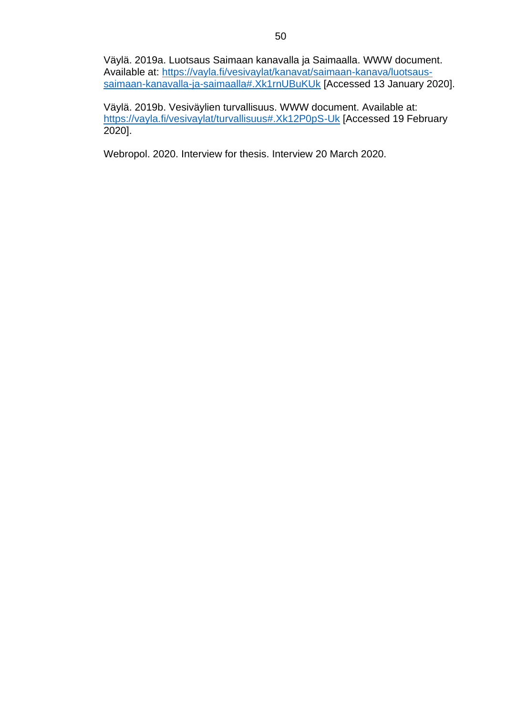Väylä. 2019a. Luotsaus Saimaan kanavalla ja Saimaalla. WWW document. Available at: [https://vayla.fi/vesivaylat/kanavat/saimaan-kanava/luotsaus](https://vayla.fi/vesivaylat/kanavat/saimaan-kanava/luotsaus-saimaan-kanavalla-ja-saimaalla#.Xk1rnUBuKUk)[saimaan-kanavalla-ja-saimaalla#.Xk1rnUBuKUk](https://vayla.fi/vesivaylat/kanavat/saimaan-kanava/luotsaus-saimaan-kanavalla-ja-saimaalla#.Xk1rnUBuKUk) [Accessed 13 January 2020].

Väylä. 2019b. Vesiväylien turvallisuus. WWW document. Available at: <https://vayla.fi/vesivaylat/turvallisuus#.Xk12P0pS-Uk> [Accessed 19 February 2020].

Webropol. 2020. Interview for thesis. Interview 20 March 2020.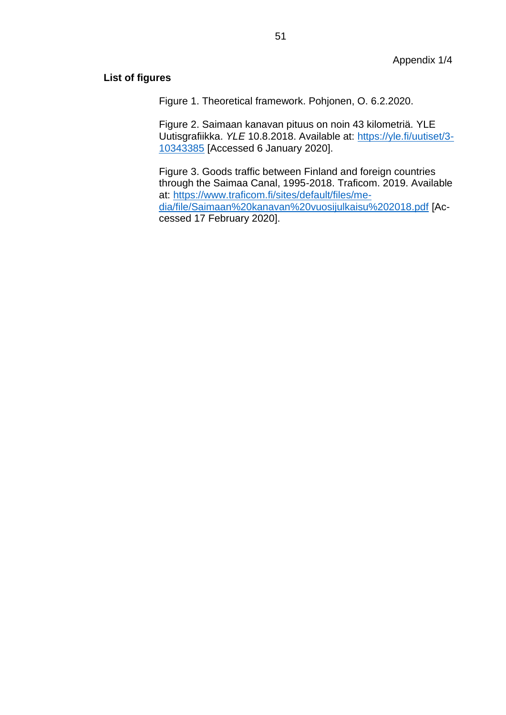#### **List of figures**

Figure 1. Theoretical framework. Pohjonen, O. 6.2.2020.

Figure 2. Saimaan kanavan pituus on noin 43 kilometriä. YLE Uutisgrafiikka. *YLE* 10.8.2018. Available at: [https://yle.fi/uutiset/3-](https://yle.fi/uutiset/3-10343385) [10343385](https://yle.fi/uutiset/3-10343385) [Accessed 6 January 2020].

Figure 3. Goods traffic between Finland and foreign countries through the Saimaa Canal, 1995-2018. Traficom. 2019. Available at: [https://www.traficom.fi/sites/default/files/me](https://www.traficom.fi/sites/default/files/media/file/Saimaan%20kanavan%20vuosijulkaisu%202018.pdf)[dia/file/Saimaan%20kanavan%20vuosijulkaisu%202018.pdf](https://www.traficom.fi/sites/default/files/media/file/Saimaan%20kanavan%20vuosijulkaisu%202018.pdf) [Accessed 17 February 2020].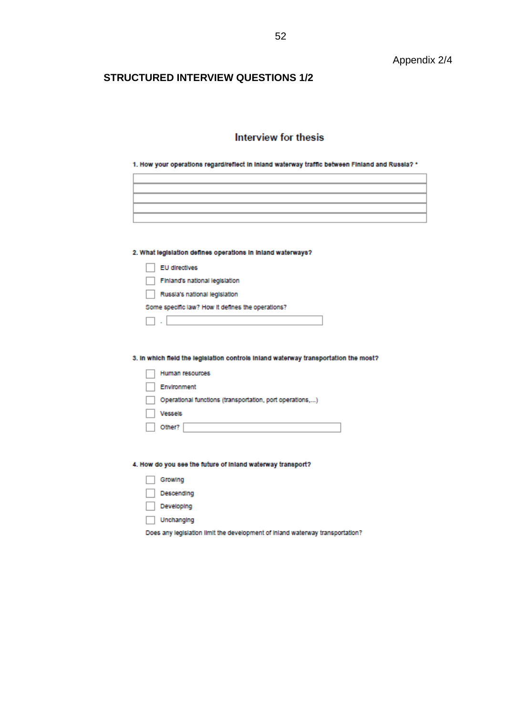#### **STRUCTURED INTERVIEW QUESTIONS 1/2**

### Interview for thesis

|  | 1. How your operations regard/reflect in inland waterway traffic between Finland and Russia? * |  |  |  |  |
|--|------------------------------------------------------------------------------------------------|--|--|--|--|
|  |                                                                                                |  |  |  |  |

| ,我们也不会有什么?""我们的人,我们也不会有什么?""我们的人,我们也不会有什么?""我们的人,我们也不会有什么?""我们的人,我们也不会有什么?""我们的人 |  |
|----------------------------------------------------------------------------------|--|
|                                                                                  |  |
|                                                                                  |  |
|                                                                                  |  |
|                                                                                  |  |
|                                                                                  |  |
|                                                                                  |  |

2. What legislation defines operations in inland waterways?

| EU directives                                     |
|---------------------------------------------------|
| Finland's national legislation                    |
| Russia's national legislation                     |
| Some specific law? How it defines the operations? |
|                                                   |

3. In which field the legislation controls inland waterway transportation the most?

| Human resources                                          |
|----------------------------------------------------------|
| Environment                                              |
| Operational functions (transportation, port operations,) |
| <b>Vessels</b>                                           |
| Other?                                                   |

4. How do you see the future of inland waterway transport?

|--|--|--|

Descending

- Developing
- Unchanging

Does any legislation limit the development of inland waterway transportation?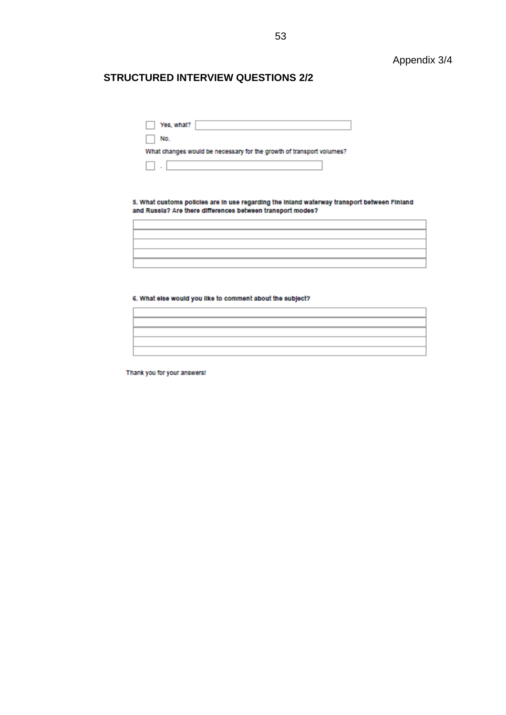#### **STRUCTURED INTERVIEW QUESTIONS 2/2**

| Yes, what?<br>$\sim$ |  |
|----------------------|--|

 $\Box$  No.

What changes would be necessary for the growth of transport volumes?

5. What customs policies are in use regarding the inland waterway transport between Finland and Russia? Are there differences between transport modes?

#### 6. What else would you like to comment about the subject?

Thank you for your answers!